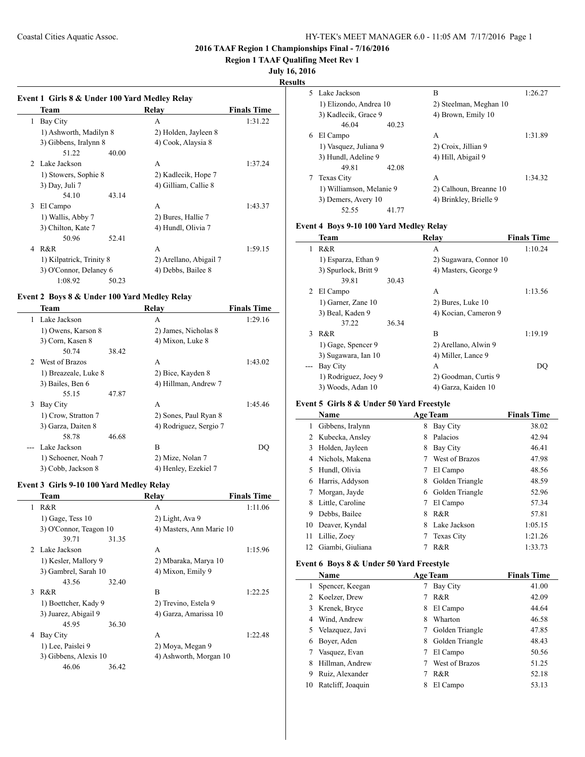**Region 1 TAAF Qualifing Meet Rev 1**

**July 16, 2016**

**Results**

 $\overline{\phantom{a}}$ 

 $\overline{\phantom{a}}$ 

# **Event 1 Girls 8 & Under 100 Yard Medley Relay Team Relay Finals Time** 1 Bay City **A** 1:31.22 1) Ashworth, Madilyn 8 2) Holden, Jayleen 8 3) Gibbens, Iralynn 8 4) Cook, Alaysia 8 51.22 40.00 2 Lake Jackson A 1:37.24 1) Stowers, Sophie 8 2) Kadlecik, Hope 7 3) Day, Juli 7 4) Gilliam, Callie 8 54.10 43.14 3 El Campo A 1:43.37 1) Wallis, Abby 7 2) Bures, Hallie 7 3) Chilton, Kate 7 4) Hundl, Olivia 7 50.96 52.41 4 R&R 1:59.15 1) Kilpatrick, Trinity 8 2) Arellano, Abigail 7 3) O'Connor, Delaney 6 4) Debbs, Bailee 8

#### **Event 2 Boys 8 & Under 100 Yard Medley Relay**

1:08.92 50.23

|    | Team                 |       | Relay                  | <b>Finals Time</b> |
|----|----------------------|-------|------------------------|--------------------|
| 1. | Lake Jackson         |       | A                      | 1:29.16            |
|    | 1) Owens, Karson 8   |       | 2) James, Nicholas 8   |                    |
|    | 3) Corn, Kasen 8     |       | 4) Mixon, Luke 8       |                    |
|    | 50.74                | 38.42 |                        |                    |
|    | 2 West of Brazos     |       | A                      | 1:43.02            |
|    | 1) Breazeale, Luke 8 |       | 2) Bice, Kayden 8      |                    |
|    | 3) Bailes, Ben 6     |       | 4) Hillman, Andrew 7   |                    |
|    | 55.15                | 47.87 |                        |                    |
| 3  | Bay City             |       | A                      | 1:45.46            |
|    | 1) Crow, Stratton 7  |       | 2) Sones, Paul Ryan 8  |                    |
|    | 3) Garza, Daiten 8   |       | 4) Rodriguez, Sergio 7 |                    |
|    | 58.78                | 46.68 |                        |                    |
|    | Lake Jackson         |       | B                      | DO                 |
|    | 1) Schoener, Noah 7  |       | 2) Mize, Nolan 7       |                    |
|    | 3) Cobb, Jackson 8   |       | 4) Henley, Ezekiel 7   |                    |

#### **Event 3 Girls 9-10 100 Yard Medley Relay**

|              | Team                   |       | Relay                    | <b>Finals Time</b> |
|--------------|------------------------|-------|--------------------------|--------------------|
| 1            | R&R                    |       | A                        | 1:11.06            |
|              | $1)$ Gage, Tess $10$   |       | 2) Light, Ava 9          |                    |
|              | 3) O'Connor, Teagon 10 |       | 4) Masters, Ann Marie 10 |                    |
|              | 39.71                  | 31.35 |                          |                    |
|              | 2 Lake Jackson         |       | A                        | 1:15.96            |
|              | 1) Kesler, Mallory 9   |       | 2) Mbaraka, Marya 10     |                    |
|              | 3) Gambrel, Sarah 10   |       | 4) Mixon, Emily 9        |                    |
|              | 43.56                  | 32.40 |                          |                    |
| $\mathbf{3}$ | R&R                    |       | B                        | 1:22.25            |
|              | 1) Boettcher, Kady 9   |       | 2) Trevino, Estela 9     |                    |
|              | 3) Juarez, Abigail 9   |       | 4) Garza, Amarissa 10    |                    |
|              | 45.95                  | 36.30 |                          |                    |
| 4            | Bay City               |       | A                        | 1:22.48            |
|              | 1) Lee, Paislei 9      |       | 2) Moya, Megan 9         |                    |
|              | 3) Gibbens, Alexis 10  |       | 4) Ashworth, Morgan 10   |                    |
|              | 46.06                  | 36.42 |                          |                    |
|              |                        |       |                          |                    |

|   | 5 Lake Jackson           | B                      | 1:26.27 |
|---|--------------------------|------------------------|---------|
|   | 1) Elizondo, Andrea 10   | 2) Steelman, Meghan 10 |         |
|   | 3) Kadlecik, Grace 9     | 4) Brown, Emily 10     |         |
|   | 46.04<br>40.23           |                        |         |
| 6 | El Campo                 | A                      | 1:31.89 |
|   | 1) Vasquez, Juliana 9    | 2) Croix, Jillian 9    |         |
|   | 3) Hundl, Adeline 9      | 4) Hill, Abigail 9     |         |
|   | 49 81<br>42.08           |                        |         |
|   | <b>Texas City</b>        | A                      | 1:34.32 |
|   | 1) Williamson, Melanie 9 | 2) Calhoun, Breanne 10 |         |
|   | 3) Demers, Avery 10      | 4) Brinkley, Brielle 9 |         |
|   | 52.55<br>41.77           |                        |         |

# **Event 4 Boys 9-10 100 Yard Medley Relay**

|   | <b>Team</b>          |       | Relay                  | <b>Finals Time</b> |
|---|----------------------|-------|------------------------|--------------------|
| 1 | R&R                  |       | A                      | 1:10.24            |
|   | 1) Esparza, Ethan 9  |       | 2) Sugawara, Connor 10 |                    |
|   | 3) Spurlock, Britt 9 |       | 4) Masters, George 9   |                    |
|   | 39.81                | 30.43 |                        |                    |
| 2 | El Campo             |       | A                      | 1:13.56            |
|   | 1) Garner, Zane 10   |       | 2) Bures, Luke 10      |                    |
|   | 3) Beal, Kaden 9     |       | 4) Kocian, Cameron 9   |                    |
|   | 37.22                | 36.34 |                        |                    |
| 3 | R & R                |       | B                      | 1:19.19            |
|   | 1) Gage, Spencer 9   |       | 2) Arellano, Alwin 9   |                    |
|   | 3) Sugawara, Ian 10  |       | 4) Miller, Lance 9     |                    |
|   | Bay City             |       | A                      | DO                 |
|   | 1) Rodriguez, Joey 9 |       | 2) Goodman, Curtis 9   |                    |
|   | 3) Woods, Adan 10    |       | 4) Garza, Kaiden 10    |                    |

#### **Event 5 Girls 8 & Under 50 Yard Freestyle**

|    | Name             |   | <b>Age Team</b>   | <b>Finals Time</b> |
|----|------------------|---|-------------------|--------------------|
| 1  | Gibbens, Iralynn | 8 | Bay City          | 38.02              |
| 2  | Kubecka, Ansley  | 8 | Palacios          | 42.94              |
| 3  | Holden, Jayleen  | 8 | Bay City          | 46.41              |
| 4  | Nichols, Makena  |   | West of Brazos    | 47.98              |
| 5  | Hundl, Olivia    | 7 | El Campo          | 48.56              |
| 6  | Harris, Addyson  | 8 | Golden Triangle   | 48.59              |
| 7  | Morgan, Jayde    | 6 | Golden Triangle   | 52.96              |
| 8  | Little, Caroline | 7 | El Campo          | 57.34              |
| 9  | Debbs, Bailee    | 8 | R&R               | 57.81              |
| 10 | Deaver, Kyndal   | 8 | Lake Jackson      | 1:05.15            |
| 11 | Lillie, Zoey     | 7 | <b>Texas City</b> | 1:21.26            |
| 12 | Giambi, Giuliana |   | R&R               | 1:33.73            |

## **Event 6 Boys 8 & Under 50 Yard Freestyle**

|    | Name              |   | <b>Age Team</b> | <b>Finals Time</b> |  |
|----|-------------------|---|-----------------|--------------------|--|
|    | Spencer, Keegan   |   | Bay City        | 41.00              |  |
|    | 2 Koelzer, Drew   |   | R&R             | 42.09              |  |
| 3  | Krenek, Bryce     | 8 | El Campo        | 44.64              |  |
| 4  | Wind, Andrew      | 8 | Wharton         | 46.58              |  |
|    | 5 Velazquez, Javi | 7 | Golden Triangle | 47.85              |  |
| 6  | Boyer, Aden       | 8 | Golden Triangle | 48.43              |  |
|    | Vasquez, Evan     |   | El Campo        | 50.56              |  |
| 8  | Hillman, Andrew   |   | West of Brazos  | 51.25              |  |
| 9  | Ruiz, Alexander   |   | R&R             | 52.18              |  |
| 10 | Ratcliff, Joaquin | 8 | El Campo        | 53.13              |  |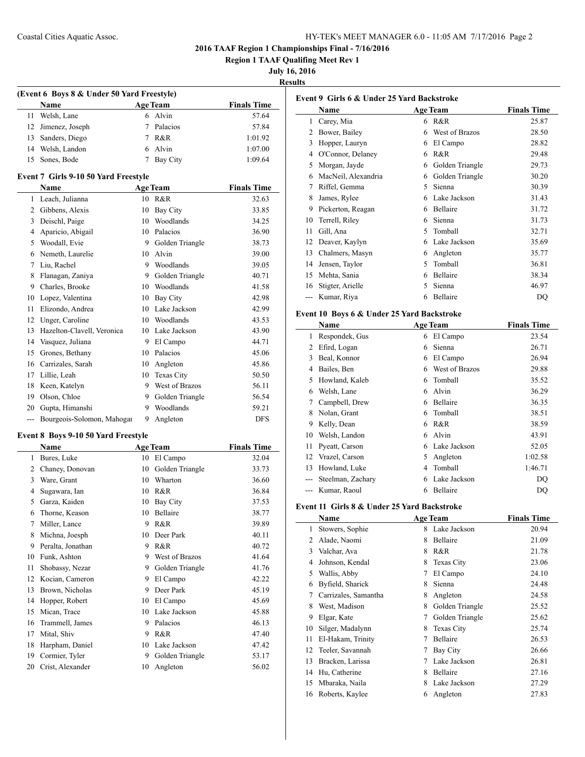**Region 1 TAAF Qualifing Meet Rev 1**

**July 16, 2016**

**Results**

| (Event 6 Boys 8 & Under 50 Yard Freestyle) |                                                  |    |                                |                     |  |
|--------------------------------------------|--------------------------------------------------|----|--------------------------------|---------------------|--|
|                                            | <b>Name</b>                                      |    | <b>Age Team</b>                | <b>Finals Time</b>  |  |
| 11                                         | Welsh, Lane                                      | 6  | Alvin                          | 57.64               |  |
| 12                                         | Jimenez, Joseph                                  | 7  | Palacios                       | 57.84               |  |
|                                            | 13 Sanders, Diego                                | 7  | R&R                            | 1:01.92             |  |
|                                            | 14 Welsh, Landon                                 |    | 6 Alvin                        | 1:07.00             |  |
| 15                                         | Sones, Bode                                      | 7  | Bay City                       | 1:09.64             |  |
|                                            | Event 7 Girls 9-10 50 Yard Freestyle             |    |                                |                     |  |
|                                            | Name                                             |    | <b>Age Team</b>                | <b>Finals Time</b>  |  |
|                                            | 1 Leach, Julianna                                |    | 10 R&R                         | 32.63               |  |
|                                            | 2 Gibbens, Alexis                                | 10 | Bay City                       | 33.85               |  |
| 3                                          | Deischl, Paige                                   |    | 10 Woodlands                   | 34.25               |  |
| 4                                          | Aparicio, Abigail                                |    | 10 Palacios                    | 36.90               |  |
|                                            | 5 Woodall, Evie                                  |    | 9 Golden Triangle              | 38.73               |  |
|                                            | 6 Nemeth, Laurelie                               |    | 10 Alvin                       | 39.00               |  |
| $7^{\circ}$                                | Liu, Rachel                                      |    | 9 Woodlands                    | 39.05               |  |
| 8                                          | Flanagan, Zaniya                                 |    | 9 Golden Triangle              | 40.71               |  |
|                                            | 9 Charles, Brooke                                |    | 10 Woodlands                   | 41.58               |  |
|                                            | 10 Lopez, Valentina                              |    | 10 Bay City                    | 42.98               |  |
| 11                                         | Elizondo, Andrea                                 |    | 10 Lake Jackson                | 42.99               |  |
| 12                                         | Unger, Caroline                                  |    | 10 Woodlands                   | 43.53               |  |
| 13                                         | Hazelton-Clavell, Veronica                       |    | 10 Lake Jackson                | 43.90               |  |
|                                            | 14 Vasquez, Juliana                              |    | 9 El Campo                     | 44.71               |  |
| 15                                         | Grones, Bethany                                  |    | 10 Palacios                    | 45.06               |  |
|                                            | 16 Carrizales, Sarah                             |    | 10 Angleton                    | 45.86               |  |
|                                            | 17 Lillie, Leah                                  | 10 | Texas City                     | 50.50               |  |
| 18                                         | Keen, Katelyn                                    | 9. | West of Brazos                 | 56.11               |  |
|                                            | 19 Olson, Chloe                                  |    |                                |                     |  |
|                                            |                                                  | 9  | 9 Golden Triangle<br>Woodlands | 56.54               |  |
| $\overline{a}$                             | 20 Gupta, Himanshi<br>Bourgeois-Solomon, Mahogar | 9  | Angleton                       | 59.21<br><b>DFS</b> |  |
|                                            |                                                  |    |                                |                     |  |
|                                            | Event 8 Boys 9-10 50 Yard Freestyle              |    |                                |                     |  |
|                                            | Name                                             |    | <b>Age Team</b>                | <b>Finals Time</b>  |  |
|                                            | 1 Bures, Luke                                    |    | 10 El Campo                    | 32.04               |  |
|                                            | 2 Chaney, Donovan                                |    | 10 Golden Triangle             | 33.73               |  |
| 3                                          | Ware, Grant                                      |    | 10 Wharton                     | 36.60               |  |
| 4                                          | Sugawara, Ian                                    |    | 10 R&R                         | 36.84               |  |
| 5                                          | Garza, Kaiden                                    | 10 | Bay City                       | 37.53               |  |
| 6                                          | Thorne, Keason                                   |    | 10 Bellaire                    | 38.77               |  |
| 7                                          | Miller, Lance                                    | 9  | R&R                            | 39.89               |  |
| 8                                          | Michna, Joesph                                   | 10 | Deer Park                      | 40.11               |  |
| 9                                          | Peralta, Jonathan                                | 9  | R&R                            | 40.72               |  |
| 10                                         | Funk, Ashton                                     |    | 9 West of Brazos               | 41.64               |  |
| 11                                         | Shobassy, Nezar                                  | 9. | Golden Triangle                | 41.76               |  |
| 12                                         | Kocian, Cameron                                  | 9  | El Campo                       | 42.22               |  |
| 13                                         | Brown, Nicholas                                  | 9  | Deer Park                      | 45.19               |  |
| 14                                         | Hopper, Robert                                   | 10 | El Campo                       | 45.69               |  |
| 15                                         | Mican, Trace                                     | 10 | Lake Jackson                   | 45.88               |  |
| 16                                         | Trammell, James                                  | 9  | Palacios                       | 46.13               |  |
| 17                                         | Mital, Shiv                                      | 9  | R&R                            | 47.40               |  |
| 18                                         | Harpham, Daniel                                  | 10 | Lake Jackson                   | 47.42               |  |
| 19                                         | Cormier, Tyler                                   | 9  | Golden Triangle                | 53.17               |  |
| 20                                         | Crist, Alexander                                 | 10 | Angleton                       | 56.02               |  |

|    | Event 9 Girls 6 & Under 25 Yard Backstroke  |                 |                         |                    |
|----|---------------------------------------------|-----------------|-------------------------|--------------------|
|    | Name                                        |                 | <b>Age Team</b>         | <b>Finals Time</b> |
|    | 1 Carey, Mia                                |                 | 6 R&R                   | 25.87              |
|    | 2 Bower, Bailey                             |                 | 6 West of Brazos        | 28.50              |
|    | 3 Hopper, Lauryn                            |                 | 6 El Campo              | 28.82              |
|    | 4 O'Connor, Delaney                         |                 | 6 R&R                   | 29.48              |
| 5  | Morgan, Jayde                               |                 | 6 Golden Triangle       | 29.73              |
| 6  | MacNeil, Alexandria                         |                 | 6 Golden Triangle       | 30.20              |
| 7  | Riffel, Gemma                               | 5               | Sienna                  | 30.39              |
| 8  | James, Rylee                                |                 | 6 Lake Jackson          | 31.43              |
| 9  | Pickerton, Reagan                           |                 | 6 Bellaire              | 31.72              |
|    | 10 Terrell, Riley                           |                 | 6 Sienna                | 31.73              |
| 11 | Gill, Ana                                   |                 | 5 Tomball               | 32.71              |
|    | 12 Deaver, Kaylyn                           |                 | 6 Lake Jackson          | 35.69              |
|    | 13 Chalmers, Masyn                          |                 | 6 Angleton              | 35.77              |
|    | 14 Jensen, Taylor                           |                 | 5 Tomball               | 36.81              |
|    | 15 Mehta, Sania                             |                 | 6 Bellaire              | 38.34              |
|    | 16 Stigter, Arielle                         | $5^{\circ}$     | Sienna                  | 46.97              |
|    | --- Kumar, Riya                             |                 | 6 Bellaire              | DQ                 |
|    | Event 10 Boys 6 & Under 25 Yard Backstroke  |                 |                         |                    |
|    | Name                                        |                 | <b>Age Team</b>         | <b>Finals Time</b> |
| 1  | Respondek, Gus                              |                 | 6 El Campo              | 23.54              |
|    | 2 Efird, Logan                              |                 | 6 Sienna                | 26.71              |
| 3  | Beal, Konnor                                |                 | 6 El Campo              | 26.94              |
| 4  | Bailes, Ben                                 |                 | 6 West of Brazos        | 29.88              |
|    | 5 Howland, Kaleb                            |                 | 6 Tomball               | 35.52              |
| 6  | Welsh, Lane                                 |                 | 6 Alvin                 | 36.29              |
|    | 7 Campbell, Drew                            |                 | 6 Bellaire              | 36.35              |
| 8  | Nolan, Grant                                |                 | 6 Tomball               | 38.51              |
|    | 9 Kelly, Dean                               |                 | 6 R&R                   | 38.59              |
|    | 10 Welsh, Landon                            |                 | 6 Alvin                 | 43.91              |
| 11 | Pyeatt, Carson                              |                 | 6 Lake Jackson          | 52.05              |
|    | 12 Vrazel, Carson                           |                 |                         | 1:02.58            |
|    | 13 Howland, Luke                            |                 | 5 Angleton<br>4 Tomball | 1:46.71            |
|    |                                             |                 | 6 Lake Jackson          |                    |
|    | --- Steelman, Zachary                       |                 | 6 Bellaire              | DQ                 |
|    | --- Kumar, Raoul                            |                 |                         | DQ                 |
|    | Event 11 Girls 8 & Under 25 Yard Backstroke |                 |                         |                    |
|    | Name                                        |                 | <b>Age Team</b>         | <b>Finals Time</b> |
| 1  | Stowers, Sophie                             | 8               | Lake Jackson            | 20.94              |
| 2  | Alade, Naomi                                | 8               | Bellaire                | 21.09              |
| 3  | Valchar, Ava                                |                 | 8 R&R                   | 21.78              |
| 4  | Johnson, Kendal                             | 8               | Texas City              | 23.06              |
| 5  | Wallis, Abby                                | 7               | El Campo                | 24.10              |
| 6  | Byfield, Sharick                            | 8               | Sienna                  | 24.48              |
| 7  | Carrizales, Samantha                        | 8               | Angleton                | 24.58              |
| 8  | West, Madison                               | 8               | Golden Triangle         | 25.52              |
| 9  | Elgar, Kate                                 | 7               | Golden Triangle         | 25.62              |
| 10 | Silger, Madalynn                            | 8               | Texas City              | 25.74              |
| 11 | El-Hakam, Trinity                           | $7\phantom{.0}$ | Bellaire                | 26.53              |
| 12 | Teeler, Savannah                            |                 | 7 Bay City              | 26.66              |
| 13 | Bracken, Larissa                            |                 | 7 Lake Jackson          | 26.81              |
| 14 | Hu, Catherine                               |                 | 8 Bellaire              | 27.16              |
| 15 | Mbaraka, Naila                              |                 | 8 Lake Jackson          | 27.29              |
| 16 | Roberts, Kaylee                             |                 | 6 Angleton              | 27.83              |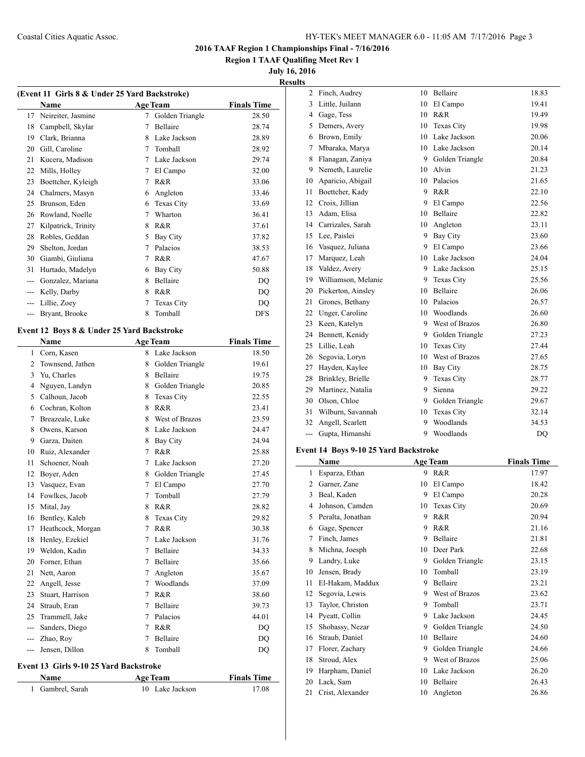**Region 1 TAAF Qualifing Meet Rev 1**

**July 16, 2016**

|  | . |  | . | --      |
|--|---|--|---|---------|
|  |   |  |   | Results |
|  |   |  |   |         |

| (Event 11 Girls 8 & Under 25 Yard Backstroke) |                                            |             |                   |                    |  |
|-----------------------------------------------|--------------------------------------------|-------------|-------------------|--------------------|--|
|                                               | Name                                       |             | <b>Age Team</b>   | <b>Finals Time</b> |  |
| 17                                            | Neireiter, Jasmine                         | 7           | Golden Triangle   | 28.50              |  |
| 18                                            | Campbell, Skylar                           | 7           | Bellaire          | 28.74              |  |
|                                               | 19 Clark, Brianna                          | 8           | Lake Jackson      | 28.89              |  |
|                                               | 20 Gill, Caroline                          | 7           | Tomball           | 28.92              |  |
| 21                                            | Kucera, Madison                            |             | 7 Lake Jackson    | 29.74              |  |
| 22                                            | Mills, Holley                              |             | 7 El Campo        | 32.00              |  |
| 23                                            | Boettcher, Kyleigh                         | 7           | R&R               | 33.06              |  |
|                                               | 24 Chalmers, Masyn                         |             | 6 Angleton        | 33.46              |  |
| 25                                            | Brunson, Eden                              |             | 6 Texas City      | 33.69              |  |
| 26                                            | Rowland, Noelle                            | 7           | Wharton           | 36.41              |  |
| 27                                            | Kilpatrick, Trinity                        | 8           | R&R               | 37.61              |  |
| 28                                            | Robles, Geddan                             | 5           | Bay City          | 37.82              |  |
| 29                                            | Shelton, Jordan                            | 7           | Palacios          | 38.53              |  |
|                                               | 30 Giambi, Giuliana                        | 7           | R&R               | 47.67              |  |
| 31                                            | Hurtado, Madelyn                           | 6           | Bay City          | 50.88              |  |
|                                               | --- Gonzalez, Mariana                      | 8           | Bellaire          | DQ                 |  |
|                                               | --- Kelly, Darby                           | 8           | R&R               | DQ                 |  |
|                                               | --- Lillie, Zoey                           | 7           | Texas City        | DQ                 |  |
| ---                                           | Bryant, Brooke                             | 8           | Tomball           | <b>DFS</b>         |  |
|                                               |                                            |             |                   |                    |  |
|                                               | Event 12 Boys 8 & Under 25 Yard Backstroke |             |                   |                    |  |
|                                               | Name                                       |             | <b>Age Team</b>   | <b>Finals Time</b> |  |
|                                               | 1 Corn, Kasen                              |             | 8 Lake Jackson    | 18.50              |  |
|                                               | 2 Townsend, Jathen                         |             | 8 Golden Triangle | 19.61              |  |
| 3                                             | Yu, Charles                                | 8           | Bellaire          | 19.75              |  |
| 4                                             | Nguyen, Landyn                             | 8           | Golden Triangle   | 20.85              |  |
|                                               | 5 Calhoun, Jacob                           | 8           | Texas City        | 22.55              |  |
|                                               | 6 Cochran, Kolton                          | 8           | R&R               | 23.41              |  |
| 7                                             | Breazeale, Luke                            | 8           | West of Brazos    | 23.59              |  |
| 8                                             | Owens, Karson                              | 8           | Lake Jackson      | 24.47              |  |
| 9                                             | Garza, Daiten                              | 8           | Bay City          | 24.94              |  |
| 10                                            | Ruiz, Alexander                            | 7           | R&R               | 25.88              |  |
| 11                                            | Schoener, Noah                             | 7           | Lake Jackson      | 27.20              |  |
| 12                                            | Boyer, Aden                                |             | 8 Golden Triangle | 27.45              |  |
| 13                                            | Vasquez, Evan                              |             | 7 El Campo        | 27.70              |  |
| 14                                            | Fowlkes, Jacob                             | 7           | Tomball           | 27.79              |  |
| 15                                            | Mital, Jay                                 | 8           | R&R               | 28.82              |  |
| 16                                            | Bentley, Kaleb                             | 8           | Texas City        | 29.82              |  |
| 17                                            | Heathcock, Morgan                          | 7           | R&R               | 30.38              |  |
| 18                                            | Henley, Ezekiel                            | 7           | Lake Jackson      | 31.76              |  |
| 19                                            | Weldon, Kadin                              | 7           | Bellaire          | 34.33              |  |
| 20                                            | Forner, Ethan                              | $7^{\circ}$ | Bellaire          | 35.66              |  |
| 21                                            | Nett, Aaron                                | 7           | Angleton          | 35.67              |  |
| 22                                            | Angell, Jesse                              | $7^{\circ}$ | Woodlands         | 37.09              |  |
| 23                                            | Stuart, Harrison                           | 7           | R&R               | 38.60              |  |
| 24                                            | Straub, Eran                               | 7           | Bellaire          | 39.73              |  |
| 25                                            | Trammell, Jake                             | 7           | Palacios          | 44.01              |  |
| $---$                                         | Sanders, Diego                             | 7           | R&R               | DQ                 |  |
|                                               | --- Zhao, Roy                              | 7           | Bellaire          | DQ                 |  |
| $\qquad \qquad - -$                           | Jensen, Dillon                             | 8           | Tomball           | DQ                 |  |
|                                               | 32.1.0102537                               |             |                   |                    |  |

#### **Event 13 Girls 9-10 25 Yard Backstroke**

| <b>Name</b>      | <b>Age Team</b> | <b>Finals Time</b> |  |
|------------------|-----------------|--------------------|--|
| 1 Gambrel, Sarah | 10 Lake Jackson | 17.08              |  |

| 2              | Finch, Audrey       | 10 | Bellaire          | 18.83 |
|----------------|---------------------|----|-------------------|-------|
| 3              | Little, Juilann     | 10 | El Campo          | 19.41 |
| $\overline{4}$ | Gage, Tess          | 10 | R&R               | 19.49 |
| 5              | Demers, Avery       | 10 | <b>Texas City</b> | 19.98 |
| 6              | Brown, Emily        | 10 | Lake Jackson      | 20.06 |
| 7              | Mbaraka, Marya      | 10 | Lake Jackson      | 20.14 |
| 8              | Flanagan, Zaniya    | 9  | Golden Triangle   | 20.84 |
| 9              | Nemeth, Laurelie    | 10 | Alvin             | 21.23 |
| 10             | Aparicio, Abigail   | 10 | Palacios          | 21.65 |
| 11             | Boettcher, Kady     | 9  | R&R               | 22.10 |
| 12             | Croix, Jillian      | 9  | El Campo          | 22.56 |
| 13             | Adam, Elisa         | 10 | Bellaire          | 22.82 |
| 14             | Carrizales, Sarah   | 10 | Angleton          | 23.11 |
| 15             | Lee, Paislei        | 9  | Bay City          | 23.60 |
| 16             | Vasquez, Juliana    | 9  | El Campo          | 23.66 |
| 17             | Marquez, Leah       | 10 | Lake Jackson      | 24.04 |
| 18             | Valdez, Avery       | 9  | Lake Jackson      | 25.15 |
| 19             | Williamson, Melanie | 9  | <b>Texas City</b> | 25.56 |
| 20             | Pickerton, Ainsley  | 10 | Bellaire          | 26.06 |
| 21             | Grones, Bethany     | 10 | Palacios          | 26.57 |
| 22             | Unger, Caroline     | 10 | Woodlands         | 26.60 |
| 23             | Keen, Katelyn       | 9  | West of Brazos    | 26.80 |
| 24             | Bennett, Kenidy     | 9  | Golden Triangle   | 27.23 |
| 25             | Lillie, Leah        | 10 | <b>Texas City</b> | 27.44 |
| 26             | Segovia, Loryn      | 10 | West of Brazos    | 27.65 |
| 27             | Hayden, Kaylee      | 10 | Bay City          | 28.75 |
| 28             | Brinkley, Brielle   | 9  | <b>Texas City</b> | 28.77 |
| 29             | Martinez, Natalia   | 9  | Sienna            | 29.22 |
| 30             | Olson, Chloe        | 9  | Golden Triangle   | 29.67 |
| 31             | Wilburn, Savannah   | 10 | Texas City        | 32.14 |
| 32             | Angell, Scarlett    | 9  | Woodlands         | 34.53 |
| ---            | Gupta, Himanshi     | 9  | Woodlands         | DO    |

## **Event 14 Boys 9-10 25 Yard Backstroke**

|    | Name              |    | <b>Age Team</b> | <b>Finals Time</b> |
|----|-------------------|----|-----------------|--------------------|
| 1  | Esparza, Ethan    | 9  | R&R             | 17.97              |
| 2  | Garner, Zane      | 10 | El Campo        | 18.42              |
| 3  | Beal, Kaden       | 9  | El Campo        | 20.28              |
| 4  | Johnson, Camden   | 10 | Texas City      | 20.69              |
| 5  | Peralta, Jonathan | 9  | R&R             | 20.94              |
| 6  | Gage, Spencer     | 9  | R&R             | 21.16              |
| 7  | Finch, James      | 9  | Bellaire        | 21.81              |
| 8  | Michna, Joesph    | 10 | Deer Park       | 22.68              |
| 9  | Landry, Luke      | 9  | Golden Triangle | 23.15              |
| 10 | Jensen, Brady     | 10 | Tomball         | 23.19              |
| 11 | El-Hakam, Maddux  | 9  | Bellaire        | 23.21              |
| 12 | Segovia, Lewis    | 9  | West of Brazos  | 23.62              |
| 13 | Taylor, Christon  | 9  | Tomball         | 23.71              |
| 14 | Pyeatt, Collin    | 9  | Lake Jackson    | 24.45              |
| 15 | Shobassy, Nezar   | 9  | Golden Triangle | 24.50              |
| 16 | Straub, Daniel    | 10 | Bellaire        | 24.60              |
| 17 | Florer, Zachary   | 9  | Golden Triangle | 24.66              |
| 18 | Stroud, Alex      | 9  | West of Brazos  | 25.06              |
| 19 | Harpham, Daniel   | 10 | Lake Jackson    | 26.20              |
| 20 | Lack, Sam         | 10 | Bellaire        | 26.43              |
| 21 | Crist, Alexander  | 10 | Angleton        | 26.86              |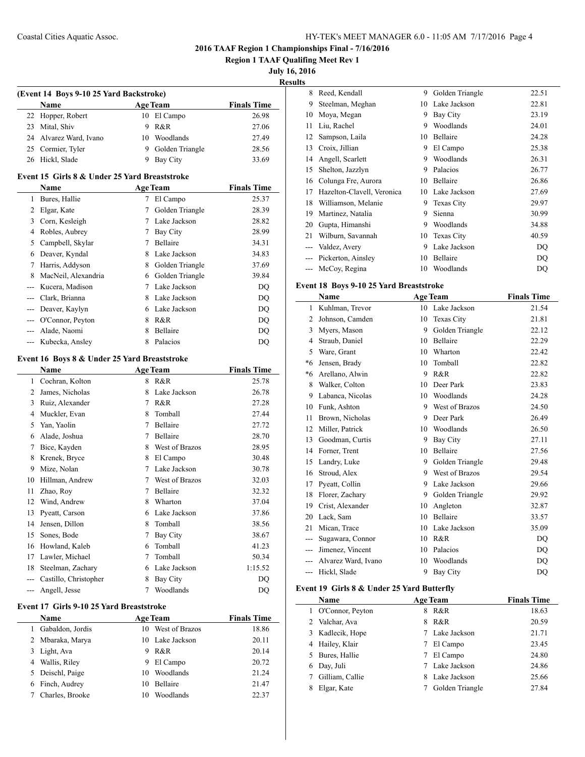**Region 1 TAAF Qualifing Meet Rev 1**

## **July 16, 2016**

**Results**

|    | (Event 14 Boys 9-10 25 Yard Backstroke) |    |                 |                    |  |  |
|----|-----------------------------------------|----|-----------------|--------------------|--|--|
|    | <b>Name</b>                             |    | <b>Age Team</b> | <b>Finals Time</b> |  |  |
|    | 22 Hopper, Robert                       |    | 10 El Campo     | 26.98              |  |  |
| 23 | Mital, Shiv                             | 9  | R&R             | 27.06              |  |  |
|    | 24 Alvarez Ward, Ivano                  | 10 | Woodlands       | 27.49              |  |  |
|    | 25 Cormier, Tyler                       | 9  | Golden Triangle | 28.56              |  |  |
|    | 26 Hickl, Slade                         |    | Bay City        | 33.69              |  |  |

#### **Event 15 Girls 8 & Under 25 Yard Breaststroke**

|   | <b>Name</b>         |   | <b>Age Team</b> | <b>Finals Time</b> |
|---|---------------------|---|-----------------|--------------------|
|   | Bures, Hallie       | 7 | El Campo        | 25.37              |
|   | Elgar, Kate         | 7 | Golden Triangle | 28.39              |
| 3 | Corn, Kesleigh      | 7 | Lake Jackson    | 28.82              |
| 4 | Robles, Aubrey      | 7 | Bay City        | 28.99              |
| 5 | Campbell, Skylar    | 7 | <b>Bellaire</b> | 34.31              |
| 6 | Deaver, Kyndal      | 8 | Lake Jackson    | 34.83              |
|   | Harris, Addyson     | 8 | Golden Triangle | 37.69              |
| 8 | MacNeil, Alexandria | 6 | Golden Triangle | 39.84              |
|   | Kucera, Madison     | 7 | Lake Jackson    | DQ                 |
|   | Clark, Brianna      | 8 | Lake Jackson    | DQ                 |
|   | Deaver, Kaylyn      | 6 | Lake Jackson    | DQ                 |
|   | O'Connor, Peyton    | 8 | R&R             | DQ                 |
|   | Alade, Naomi        | 8 | <b>Bellaire</b> | DO                 |
|   | Kubecka, Ansley     | 8 | Palacios        | DO                 |

#### **Event 16 Boys 8 & Under 25 Yard Breaststroke**

|                | Name                  |   | <b>Age Team</b> | <b>Finals Time</b> |
|----------------|-----------------------|---|-----------------|--------------------|
| 1              | Cochran, Kolton       | 8 | R&R             | 25.78              |
| $\overline{c}$ | James, Nicholas       | 8 | Lake Jackson    | 26.78              |
| 3              | Ruiz, Alexander       | 7 | R&R             | 27.28              |
| 4              | Muckler, Evan         | 8 | Tomball         | 27.44              |
| 5              | Yan, Yaolin           | 7 | Bellaire        | 27.72              |
| 6              | Alade, Joshua         | 7 | Bellaire        | 28.70              |
| 7              | Bice, Kayden          | 8 | West of Brazos  | 28.95              |
| 8              | Krenek, Bryce         | 8 | El Campo        | 30.48              |
| 9              | Mize, Nolan           | 7 | Lake Jackson    | 30.78              |
| 10             | Hillman, Andrew       | 7 | West of Brazos  | 32.03              |
| 11             | Zhao, Roy             | 7 | Bellaire        | 32.32              |
| 12             | Wind, Andrew          | 8 | Wharton         | 37.04              |
| 13             | Pyeatt, Carson        | 6 | Lake Jackson    | 37.86              |
| 14             | Jensen, Dillon        | 8 | Tomball         | 38.56              |
| 15             | Sones, Bode           | 7 | <b>Bay City</b> | 38.67              |
| 16             | Howland, Kaleb        | 6 | Tomball         | 41.23              |
| 17             | Lawler, Michael       | 7 | Tomball         | 50.34              |
| 18             | Steelman, Zachary     | 6 | Lake Jackson    | 1:15.52            |
|                | Castillo, Christopher | 8 | Bay City        | DO                 |
| ---            | Angell, Jesse         | 7 | Woodlands       | DQ                 |

#### **Event 17 Girls 9-10 25 Yard Breaststroke**

|   | <b>Name</b>      |    | <b>Age Team</b> | <b>Finals Time</b> |
|---|------------------|----|-----------------|--------------------|
|   | Gabaldon, Jordis | 10 | West of Brazos  | 18.86              |
| 2 | Mbaraka, Marya   |    | 10 Lake Jackson | 20.11              |
| 3 | Light, Ava       | 9  | R&R             | 20.14              |
| 4 | Wallis, Riley    | 9  | El Campo        | 20.72              |
| 5 | Deischl, Paige   | 10 | Woodlands       | 21.24              |
| 6 | Finch, Audrey    | 10 | <b>Bellaire</b> | 21.47              |
|   | Charles, Brooke  | 10 | Woodlands       | 22.37              |
|   |                  |    |                 |                    |

| 8  | Reed, Kendall              | 9  | Golden Triangle   | 22.51 |
|----|----------------------------|----|-------------------|-------|
| 9  | Steelman, Meghan           | 10 | Lake Jackson      | 22.81 |
| 10 | Moya, Megan                | 9  | Bay City          | 23.19 |
| 11 | Liu, Rachel                | 9  | Woodlands         | 24.01 |
| 12 | Sampson, Laila             | 10 | Bellaire          | 24.28 |
| 13 | Croix, Jillian             | 9  | El Campo          | 25.38 |
| 14 | Angell, Scarlett           | 9  | Woodlands         | 26.31 |
| 15 | Shelton, Jazzlyn           | 9  | Palacios          | 26.77 |
| 16 | Colunga Fre, Aurora        | 10 | Bellaire          | 26.86 |
| 17 | Hazelton-Clavell, Veronica | 10 | Lake Jackson      | 27.69 |
| 18 | Williamson, Melanie        | 9  | <b>Texas City</b> | 29.97 |
| 19 | Martinez, Natalia          | 9  | Sienna            | 30.99 |
| 20 | Gupta, Himanshi            | 9  | Woodlands         | 34.88 |
| 21 | Wilburn, Savannah          | 10 | <b>Texas City</b> | 40.59 |
|    | Valdez, Avery              | 9  | Lake Jackson      | DO    |
|    | Pickerton, Ainsley         | 10 | Bellaire          | DQ    |
|    | McCoy, Regina              | 10 | Woodlands         | DQ    |
|    |                            |    |                   |       |

## **Event 18 Boys 9-10 25 Yard Breaststroke**

|       | Name                | <b>Age Team</b> |                   | <b>Finals Time</b> |
|-------|---------------------|-----------------|-------------------|--------------------|
| 1     | Kuhlman, Trevor     | 10              | Lake Jackson      | 21.54              |
| 2     | Johnson, Camden     | 10              | <b>Texas City</b> | 21.81              |
| 3     | Myers, Mason        | 9               | Golden Triangle   | 22.12              |
| 4     | Straub, Daniel      | 10              | <b>Bellaire</b>   | 22.29              |
| 5     | Ware, Grant         | 10              | Wharton           | 22.42              |
| *6    | Jensen, Brady       | 10              | Tomball           | 22.82              |
| $*6$  | Arellano, Alwin     | 9               | R&R               | 22.82              |
| 8     | Walker, Colton      | 10              | Deer Park         | 23.83              |
| 9     | Labanca, Nicolas    | 10              | Woodlands         | 24.28              |
| 10    | Funk, Ashton        | 9               | West of Brazos    | 24.50              |
| 11    | Brown, Nicholas     | 9               | Deer Park         | 26.49              |
| 12    | Miller, Patrick     | 10              | Woodlands         | 26.50              |
| 13    | Goodman, Curtis     | 9               | <b>Bay City</b>   | 27.11              |
| 14    | Forner, Trent       | 10              | <b>Bellaire</b>   | 27.56              |
| 15    | Landry, Luke        | 9               | Golden Triangle   | 29.48              |
| 16    | Stroud, Alex        | 9               | West of Brazos    | 29.54              |
| 17    | Pyeatt, Collin      | 9               | Lake Jackson      | 29.66              |
| 18    | Florer, Zachary     | 9               | Golden Triangle   | 29.92              |
| 19    | Crist, Alexander    | 10              | Angleton          | 32.87              |
| 20    | Lack, Sam           | 10              | Bellaire          | 33.57              |
| 21    | Mican, Trace        | 10              | Lake Jackson      | 35.09              |
| ---   | Sugawara, Connor    | 10              | R&R               | D <sub>O</sub>     |
| ---   | Jimenez, Vincent    | 10              | Palacios          | DO                 |
|       | Alvarez Ward, Ivano | 10              | Woodlands         | DO                 |
| $---$ | Hickl. Slade        | 9               | <b>Bay City</b>   | D <sub>O</sub>     |

## **Event 19 Girls 8 & Under 25 Yard Butterfly**

| Name                 | <b>Age Team</b>    | <b>Finals Time</b> |
|----------------------|--------------------|--------------------|
| O'Connor, Peyton     | R&R<br>8           | 18.63              |
| 2 Valchar, Ava       | R&R<br>8.          | 20.59              |
| 3 Kadlecik, Hope     | 7 Lake Jackson     | 21.71              |
| 4 Hailey, Klair      | El Campo           | 23.45              |
| 5 Bures, Hallie      | El Campo<br>7      | 24.80              |
| 6 Day, Juli          | 7 Lake Jackson     | 24.86              |
| Gilliam, Callie<br>7 | Lake Jackson<br>8. | 25.66              |
| Elgar, Kate<br>8     | Golden Triangle    | 27.84              |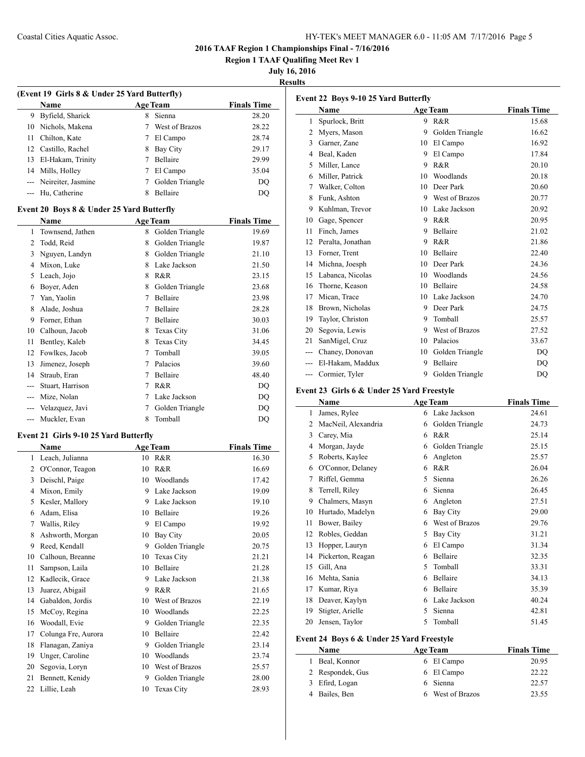## Coastal Cities Aquatic Assoc. HY-TEK's MEET MANAGER 6.0 - 11:05 AM 7/17/2016 Page 5

**2016 TAAF Region 1 Championships Final - 7/16/2016**

**Region 1 TAAF Qualifing Meet Rev 1**

**July 16, 2016**

**Results**

| (Event 19 Girls 8 & Under 25 Yard Butterfly) |                        |   |                 |                    |
|----------------------------------------------|------------------------|---|-----------------|--------------------|
|                                              | <b>Name</b>            |   | <b>Age Team</b> | <b>Finals Time</b> |
| 9                                            | Byfield, Sharick       | 8 | Sienna          | 28.20              |
|                                              | 10 Nichols, Makena     |   | West of Brazos  | 28.22              |
| 11.                                          | Chilton, Kate          |   | El Campo        | 28.74              |
|                                              | 12 Castillo, Rachel    | 8 | Bay City        | 29.17              |
| 13                                           | El-Hakam, Trinity      |   | <b>Bellaire</b> | 29.99              |
| 14                                           | Mills, Holley          |   | El Campo        | 35.04              |
|                                              | --- Neireiter, Jasmine |   | Golden Triangle | DO                 |
|                                              | Hu, Catherine          | 8 | Bellaire        | DO                 |
|                                              |                        |   |                 |                    |

## **Event 20 Boys 8 & Under 25 Yard Butterfly**

|    | Name             |   | <b>Age Team</b>   | <b>Finals Time</b> |
|----|------------------|---|-------------------|--------------------|
| 1  | Townsend, Jathen | 8 | Golden Triangle   | 19.69              |
| 2  | Todd, Reid       | 8 | Golden Triangle   | 19.87              |
| 3  | Nguyen, Landyn   | 8 | Golden Triangle   | 21.10              |
| 4  | Mixon, Luke      | 8 | Lake Jackson      | 21.50              |
| 5  | Leach, Jojo      | 8 | R&R               | 23.15              |
| 6  | Boyer, Aden      | 8 | Golden Triangle   | 23.68              |
| 7  | Yan, Yaolin      | 7 | Bellaire          | 23.98              |
| 8  | Alade, Joshua    | 7 | Bellaire          | 28.28              |
| 9  | Forner, Ethan    | 7 | Bellaire          | 30.03              |
| 10 | Calhoun, Jacob   | 8 | <b>Texas City</b> | 31.06              |
| 11 | Bentley, Kaleb   | 8 | <b>Texas City</b> | 34.45              |
| 12 | Fowlkes, Jacob   | 7 | Tomball           | 39.05              |
| 13 | Jimenez, Joseph  | 7 | Palacios          | 39.60              |
| 14 | Straub, Eran     | 7 | Bellaire          | 48.40              |
|    | Stuart, Harrison | 7 | R&R               | DQ                 |
|    | Mize, Nolan      | 7 | Lake Jackson      | DO                 |
|    | Velazquez, Javi  | 7 | Golden Triangle   | DQ                 |
|    | Muckler, Evan    | 8 | Tomball           | DQ                 |

## **Event 21 Girls 9-10 25 Yard Butterfly**

|    | Name                |    | <b>Age Team</b>   | <b>Finals Time</b> |
|----|---------------------|----|-------------------|--------------------|
| 1  | Leach, Julianna     | 10 | R&R               | 16.30              |
| 2  | O'Connor, Teagon    | 10 | R&R               | 16.69              |
| 3  | Deischl, Paige      | 10 | Woodlands         | 17.42              |
| 4  | Mixon, Emily        | 9  | Lake Jackson      | 19.09              |
| 5  | Kesler, Mallory     | 9  | Lake Jackson      | 19.10              |
| 6  | Adam, Elisa         | 10 | Bellaire          | 19.26              |
| 7  | Wallis, Riley       | 9  | El Campo          | 19.92              |
| 8  | Ashworth, Morgan    | 10 | Bay City          | 20.05              |
| 9  | Reed, Kendall       | 9  | Golden Triangle   | 20.75              |
| 10 | Calhoun, Breanne    | 10 | Texas City        | 21.21              |
| 11 | Sampson, Laila      | 10 | Bellaire          | 21.28              |
| 12 | Kadlecik, Grace     | 9  | Lake Jackson      | 21.38              |
| 13 | Juarez, Abigail     | 9  | R&R               | 21.65              |
| 14 | Gabaldon, Jordis    | 10 | West of Brazos    | 22.19              |
| 15 | McCoy, Regina       | 10 | Woodlands         | 22.25              |
| 16 | Woodall, Evie       | 9  | Golden Triangle   | 22.35              |
| 17 | Colunga Fre, Aurora | 10 | Bellaire          | 22.42              |
| 18 | Flanagan, Zaniya    | 9  | Golden Triangle   | 23.14              |
| 19 | Unger, Caroline     | 10 | Woodlands         | 23.74              |
| 20 | Segovia, Loryn      | 10 | West of Brazos    | 25.57              |
| 21 | Bennett, Kenidy     | 9  | Golden Triangle   | 28.00              |
| 22 | Lillie, Leah        | 10 | <b>Texas City</b> | 28.93              |

| Event 22 Boys 9-10 25 Yard Butterfly |                   |    |                 |                    |
|--------------------------------------|-------------------|----|-----------------|--------------------|
|                                      | Name              |    | <b>Age Team</b> | <b>Finals Time</b> |
| 1                                    | Spurlock, Britt   | 9  | R&R             | 15.68              |
| 2                                    | Myers, Mason      | 9  | Golden Triangle | 16.62              |
| 3                                    | Garner, Zane      | 10 | El Campo        | 16.92              |
| 4                                    | Beal, Kaden       | 9  | El Campo        | 17.84              |
| 5                                    | Miller, Lance     | 9  | R&R             | 20.10              |
| 6                                    | Miller, Patrick   | 10 | Woodlands       | 20.18              |
| 7                                    | Walker, Colton    | 10 | Deer Park       | 20.60              |
| 8                                    | Funk, Ashton      | 9  | West of Brazos  | 20.77              |
| 9                                    | Kuhlman, Trevor   | 10 | Lake Jackson    | 20.92              |
| 10                                   | Gage, Spencer     | 9  | R&R             | 20.95              |
| 11                                   | Finch, James      | 9  | Bellaire        | 21.02              |
| 12                                   | Peralta, Jonathan | 9  | R&R             | 21.86              |
| 13                                   | Forner, Trent     | 10 | Bellaire        | 22.40              |
| 14                                   | Michna, Joesph    | 10 | Deer Park       | 24.36              |
| 15                                   | Labanca, Nicolas  | 10 | Woodlands       | 24.56              |
| 16                                   | Thorne, Keason    | 10 | <b>Bellaire</b> | 24.58              |
| 17                                   | Mican, Trace      | 10 | Lake Jackson    | 24.70              |
| 18                                   | Brown, Nicholas   | 9  | Deer Park       | 24.75              |
| 19                                   | Taylor, Christon  | 9  | Tomball         | 25.57              |
| 20                                   | Segovia, Lewis    | 9  | West of Brazos  | 27.52              |
| 21                                   | SanMigel, Cruz    | 10 | Palacios        | 33.67              |
| ---                                  | Chaney, Donovan   | 10 | Golden Triangle | DO                 |
|                                      | El-Hakam, Maddux  | 9  | <b>Bellaire</b> | DQ                 |
| $---$                                | Cormier, Tyler    | 9  | Golden Triangle | DO                 |

#### **Event 23 Girls 6 & Under 25 Yard Freestyle**

|    | Name                |   | <b>Age Team</b> | <b>Finals Time</b> |
|----|---------------------|---|-----------------|--------------------|
| 1  | James, Rylee        | 6 | Lake Jackson    | 24.61              |
| 2  | MacNeil, Alexandria | 6 | Golden Triangle | 24.73              |
| 3  | Carey, Mia          | 6 | R&R             | 25.14              |
| 4  | Morgan, Jayde       | 6 | Golden Triangle | 25.15              |
| 5  | Roberts, Kaylee     | 6 | Angleton        | 25.57              |
| 6  | O'Connor, Delaney   | 6 | R&R             | 26.04              |
| 7  | Riffel, Gemma       | 5 | Sienna          | 26.26              |
| 8  | Terrell, Riley      | 6 | Sienna          | 26.45              |
| 9  | Chalmers, Masyn     | 6 | Angleton        | 27.51              |
| 10 | Hurtado, Madelyn    | 6 | Bay City        | 29.00              |
| 11 | Bower, Bailey       | 6 | West of Brazos  | 29.76              |
| 12 | Robles, Geddan      | 5 | <b>Bay City</b> | 31.21              |
| 13 | Hopper, Lauryn      | 6 | El Campo        | 31.34              |
| 14 | Pickerton, Reagan   | 6 | Bellaire        | 32.35              |
| 15 | Gill, Ana           | 5 | Tomball         | 33.31              |
| 16 | Mehta, Sania        | 6 | Bellaire        | 34.13              |
| 17 | Kumar, Riya         | 6 | Bellaire        | 35.39              |
| 18 | Deaver, Kaylyn      | 6 | Lake Jackson    | 40.24              |
| 19 | Stigter, Arielle    | 5 | Sienna          | 42.81              |
| 20 | Jensen, Taylor      | 5 | Tomball         | 51.45              |

#### **Event 24 Boys 6 & Under 25 Yard Freestyle**

 $\overline{\phantom{a}}$ 

| <b>Name</b>      | <b>Age Team</b>  | <b>Finals Time</b> |
|------------------|------------------|--------------------|
| Beal, Konnor     | 6 El Campo       | 20.95              |
| 2 Respondek, Gus | 6 El Campo       | 22.22              |
| 3 Efird, Logan   | 6 Sienna         | 22.57              |
| 4 Bailes, Ben    | 6 West of Brazos | 23.55              |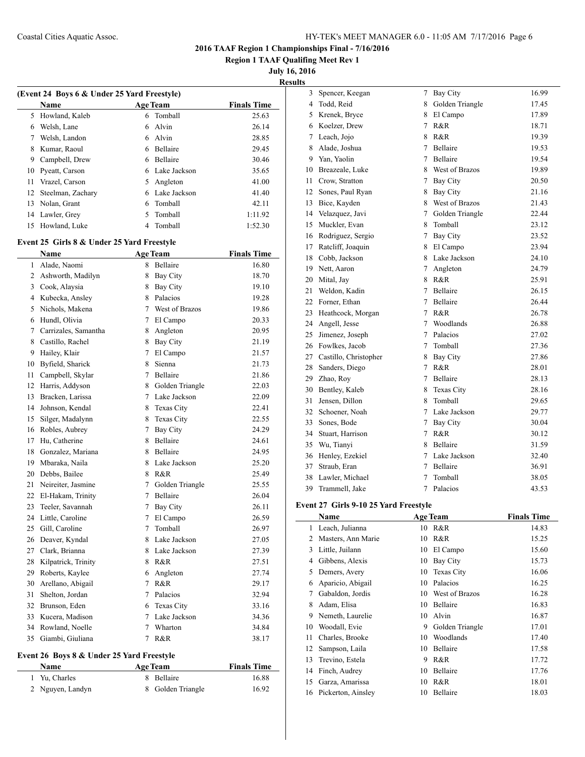**Region 1 TAAF Qualifing Meet Rev 1**

**July 16, 2016**

**Results**

| (Event 24 Boys 6 & Under 25 Yard Freestyle) |                   |    |                 |                    |  |
|---------------------------------------------|-------------------|----|-----------------|--------------------|--|
|                                             | <b>Name</b>       |    | <b>Age Team</b> | <b>Finals Time</b> |  |
| 5                                           | Howland, Kaleb    | 6  | Tomball         | 25.63              |  |
| 6                                           | Welsh, Lane       | 6  | Alvin           | 26.14              |  |
| 7                                           | Welsh, Landon     | 6  | Alvin           | 28.85              |  |
| 8                                           | Kumar, Raoul      | 6  | Bellaire        | 29.45              |  |
| 9                                           | Campbell, Drew    | 6  | Bellaire        | 30.46              |  |
| 10                                          | Pyeatt, Carson    |    | Lake Jackson    | 35.65              |  |
| 11                                          | Vrazel, Carson    | 5. | Angleton        | 41.00              |  |
| 12                                          | Steelman, Zachary | 6  | Lake Jackson    | 41.40              |  |
| 13                                          | Nolan, Grant      | 6  | Tomball         | 42.11              |  |
| 14                                          | Lawler, Grey      | 5  | Tomball         | 1:11.92            |  |
| 15                                          | Howland, Luke     |    | Tomball         | 1:52.30            |  |

# **Event 25 Girls 8 & Under 25 Yard Freestyle**

|              | <b>Name</b>          |   | <b>Age Team</b>   | <b>Finals Time</b> |
|--------------|----------------------|---|-------------------|--------------------|
| $\mathbf{1}$ | Alade, Naomi         | 8 | Bellaire          | 16.80              |
| 2            | Ashworth, Madilyn    | 8 | Bay City          | 18.70              |
| 3            | Cook, Alaysia        | 8 | Bay City          | 19.10              |
| 4            | Kubecka, Ansley      | 8 | Palacios          | 19.28              |
| 5            | Nichols, Makena      | 7 | West of Brazos    | 19.86              |
| 6            | Hundl, Olivia        | 7 | El Campo          | 20.33              |
| 7            | Carrizales, Samantha | 8 | Angleton          | 20.95              |
| 8            | Castillo, Rachel     | 8 | <b>Bay City</b>   | 21.19              |
| 9            | Hailey, Klair        | 7 | El Campo          | 21.57              |
| 10           | Byfield, Sharick     | 8 | Sienna            | 21.73              |
| 11           | Campbell, Skylar     | 7 | Bellaire          | 21.86              |
| 12           | Harris, Addyson      |   | 8 Golden Triangle | 22.03              |
| 13           | Bracken, Larissa     | 7 | Lake Jackson      | 22.09              |
| 14           | Johnson, Kendal      | 8 | Texas City        | 22.41              |
| 15           | Silger, Madalynn     | 8 | Texas City        | 22.55              |
| 16           | Robles, Aubrey       | 7 | <b>Bay City</b>   | 24.29              |
| 17           | Hu, Catherine        | 8 | Bellaire          | 24.61              |
| 18           | Gonzalez, Mariana    | 8 | <b>Bellaire</b>   | 24.95              |
| 19           | Mbaraka, Naila       | 8 | Lake Jackson      | 25.20              |
| 20           | Debbs, Bailee        | 8 | R&R               | 25.49              |
| 21           | Neireiter, Jasmine   | 7 | Golden Triangle   | 25.55              |
| 22           | El-Hakam, Trinity    | 7 | Bellaire          | 26.04              |
| 23           | Teeler, Savannah     | 7 | <b>Bay City</b>   | 26.11              |
| 24           | Little, Caroline     | 7 | El Campo          | 26.59              |
| 25           | Gill, Caroline       | 7 | Tomball           | 26.97              |
| 26           | Deaver, Kyndal       | 8 | Lake Jackson      | 27.05              |
| 27           | Clark, Brianna       | 8 | Lake Jackson      | 27.39              |
| 28           | Kilpatrick, Trinity  | 8 | R&R               | 27.51              |
| 29           | Roberts, Kaylee      | 6 | Angleton          | 27.74              |
| 30           | Arellano, Abigail    | 7 | R&R               | 29.17              |
| 31           | Shelton, Jordan      | 7 | Palacios          | 32.94              |
| 32           | Brunson, Eden        | 6 | Texas City        | 33.16              |
| 33           | Kucera, Madison      | 7 | Lake Jackson      | 34.36              |
| 34           | Rowland, Noelle      | 7 | Wharton           | 34.84              |
| 35           | Giambi, Giuliana     | 7 | R&R               | 38.17              |

#### **Event 26 Boys 8 & Under 25 Yard Freestyle**

| Name             | <b>Age Team</b>   | <b>Finals Time</b> |
|------------------|-------------------|--------------------|
| 1 Yu. Charles    | 8 Bellaire        | 16.88              |
| 2 Nguyen, Landyn | 8 Golden Triangle | 16.92              |

| .               |                       |   |                   |       |
|-----------------|-----------------------|---|-------------------|-------|
| 3               | Spencer, Keegan       | 7 | Bay City          | 16.99 |
| $\overline{4}$  | Todd, Reid            | 8 | Golden Triangle   | 17.45 |
| 5               | Krenek, Bryce         | 8 | El Campo          | 17.89 |
|                 | 6 Koelzer, Drew       | 7 | R&R               | 18.71 |
| $7\overline{ }$ | Leach, Jojo           | 8 | R&R               | 19.39 |
| 8               | Alade, Joshua         | 7 | Bellaire          | 19.53 |
| 9               | Yan, Yaolin           | 7 | Bellaire          | 19.54 |
| 10              | Breazeale, Luke       | 8 | West of Brazos    | 19.89 |
| 11              | Crow, Stratton        | 7 | Bay City          | 20.50 |
| 12              | Sones, Paul Ryan      | 8 | Bay City          | 21.16 |
| 13              | Bice, Kayden          | 8 | West of Brazos    | 21.43 |
| 14              | Velazquez, Javi       | 7 | Golden Triangle   | 22.44 |
| 15              | Muckler, Evan         | 8 | Tomball           | 23.12 |
|                 | 16 Rodriguez, Sergio  | 7 | Bay City          | 23.52 |
| 17              | Ratcliff, Joaquin     | 8 | El Campo          | 23.94 |
| 18              | Cobb, Jackson         | 8 | Lake Jackson      | 24.10 |
|                 | 19 Nett, Aaron        | 7 | Angleton          | 24.79 |
| 20              | Mital, Jay            | 8 | R&R               | 25.91 |
| 21              | Weldon, Kadin         | 7 | Bellaire          | 26.15 |
|                 | 22 Forner, Ethan      | 7 | Bellaire          | 26.44 |
| 23              | Heathcock, Morgan     | 7 | R&R               | 26.78 |
|                 | 24 Angell, Jesse      | 7 | Woodlands         | 26.88 |
| 25              | Jimenez, Joseph       | 7 | Palacios          | 27.02 |
|                 | 26 Fowlkes, Jacob     | 7 | Tomball           | 27.36 |
| 27              | Castillo, Christopher | 8 | <b>Bay City</b>   | 27.86 |
| 28              | Sanders, Diego        | 7 | R&R               | 28.01 |
| 29              | Zhao, Roy             | 7 | Bellaire          | 28.13 |
|                 | 30 Bentley, Kaleb     | 8 | <b>Texas City</b> | 28.16 |
| 31              | Jensen, Dillon        | 8 | Tomball           | 29.65 |
| 32              | Schoener, Noah        | 7 | Lake Jackson      | 29.77 |
| 33              | Sones, Bode           | 7 | <b>Bay City</b>   | 30.04 |
| 34              | Stuart, Harrison      | 7 | R&R               | 30.12 |
| 35              | Wu, Tianyi            | 8 | Bellaire          | 31.59 |
| 36              | Henley, Ezekiel       | 7 | Lake Jackson      | 32.40 |
| 37              | Straub, Eran          | 7 | Bellaire          | 36.91 |
| 38              | Lawler, Michael       | 7 | Tomball           | 38.05 |
| 39              | Trammell, Jake        | 7 | Palacios          | 43.53 |

## **Event 27 Girls 9-10 25 Yard Freestyle**

 $\overline{\phantom{0}}$ 

|    | Name               |    | <b>Age Team</b> | <b>Finals Time</b> |
|----|--------------------|----|-----------------|--------------------|
| 1  | Leach, Julianna    | 10 | R&R             | 14.83              |
| 2  | Masters, Ann Marie | 10 | R&R             | 15.25              |
| 3  | Little, Juilann    | 10 | El Campo        | 15.60              |
| 4  | Gibbens, Alexis    | 10 | <b>Bay City</b> | 15.73              |
| 5  | Demers, Avery      | 10 | Texas City      | 16.06              |
| 6  | Aparicio, Abigail  | 10 | Palacios        | 16.25              |
| 7  | Gabaldon, Jordis   | 10 | West of Brazos  | 16.28              |
| 8  | Adam, Elisa        | 10 | Bellaire        | 16.83              |
| 9  | Nemeth, Laurelie   | 10 | Alvin           | 16.87              |
| 10 | Woodall, Evie      | 9  | Golden Triangle | 17.01              |
| 11 | Charles, Brooke    | 10 | Woodlands       | 17.40              |
| 12 | Sampson, Laila     | 10 | Bellaire        | 17.58              |
| 13 | Trevino, Estela    | 9  | R&R             | 17.72              |
| 14 | Finch, Audrey      | 10 | Bellaire        | 17.76              |
| 15 | Garza, Amarissa    | 10 | R&R             | 18.01              |
| 16 | Pickerton, Ainsley | 10 | Bellaire        | 18.03              |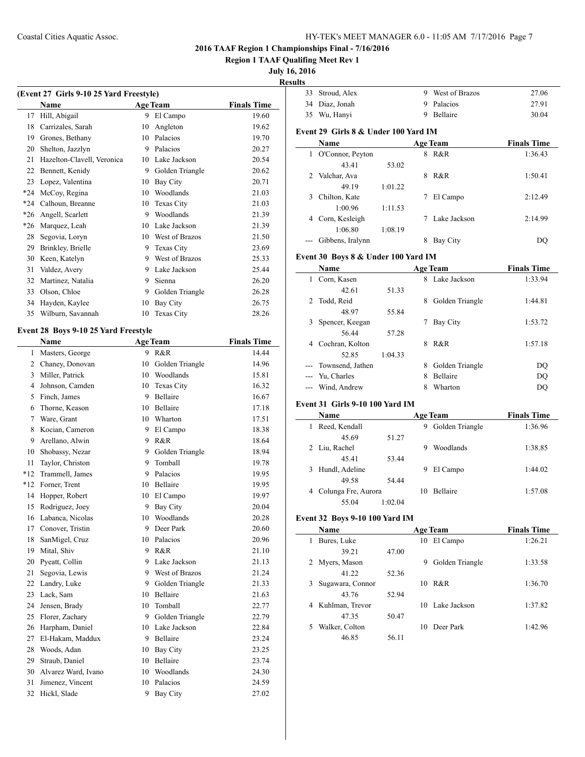## Coastal Cities Aquatic Assoc. HY-TEK's MEET MANAGER 6.0 - 11:05 AM 7/17/2016 Page 7

## **2016 TAAF Region 1 Championships Final - 7/16/2016**

**Region 1 TAAF Qualifing Meet Rev 1**

# **July 16, 2016**

**Result** 

| (Event 27 Girls 9-10 25 Yard Freestyle) |                            |    |                   |                    |
|-----------------------------------------|----------------------------|----|-------------------|--------------------|
|                                         | Name                       |    | <b>Age Team</b>   | <b>Finals Time</b> |
| 17                                      | Hill, Abigail              | 9  | El Campo          | 19.60              |
| 18                                      | Carrizales, Sarah          | 10 | Angleton          | 19.62              |
| 19                                      | Grones, Bethany            | 10 | Palacios          | 19.70              |
| 20                                      | Shelton, Jazzlyn           | 9  | Palacios          | 20.27              |
| 21                                      | Hazelton-Clavell, Veronica | 10 | Lake Jackson      | 20.54              |
| 22                                      | Bennett, Kenidy            | 9  | Golden Triangle   | 20.62              |
| 23                                      | Lopez, Valentina           | 10 | <b>Bay City</b>   | 20.71              |
| $*24$                                   | McCoy, Regina              | 10 | Woodlands         | 21.03              |
| $*24$                                   | Calhoun, Breanne           | 10 | <b>Texas City</b> | 21.03              |
| $*26$                                   | Angell, Scarlett           | 9  | Woodlands         | 21.39              |
| $*26$                                   | Marquez, Leah              | 10 | Lake Jackson      | 21.39              |
| 28                                      | Segovia, Loryn             | 10 | West of Brazos    | 21.50              |
| 29                                      | Brinkley, Brielle          | 9  | <b>Texas City</b> | 23.69              |
| 30                                      | Keen, Katelyn              | 9  | West of Brazos    | 25.33              |
| 31                                      | Valdez, Avery              | 9  | Lake Jackson      | 25.44              |
| 32                                      | Martinez, Natalia          | 9  | Sienna            | 26.20              |
| 33                                      | Olson, Chloe               | 9  | Golden Triangle   | 26.28              |
| 34                                      | Hayden, Kaylee             | 10 | <b>Bay City</b>   | 26.75              |
| 35                                      | Wilburn, Savannah          | 10 | <b>Texas City</b> | 28.26              |

# **Event 28 Boys 9-10 25 Yard Freestyle**

|                | Name                |    | <b>Age Team</b>  | <b>Finals Time</b> |
|----------------|---------------------|----|------------------|--------------------|
| 1              | Masters, George     | 9  | R&R              | 14.44              |
| $\overline{c}$ | Chaney, Donovan     | 10 | Golden Triangle  | 14.96              |
| 3              | Miller, Patrick     |    | 10 Woodlands     | 15.81              |
| 4              | Johnson, Camden     | 10 | Texas City       | 16.32              |
| 5              | Finch, James        | 9  | Bellaire         | 16.67              |
| 6              | Thorne, Keason      | 10 | Bellaire         | 17.18              |
| 7              | Ware, Grant         |    | 10 Wharton       | 17.51              |
| 8              | Kocian, Cameron     | 9. | El Campo         | 18.38              |
| 9              | Arellano, Alwin     | 9  | R&R              | 18.64              |
| 10             | Shobassy, Nezar     | 9  | Golden Triangle  | 18.94              |
| 11             | Taylor, Christon    | 9  | Tomball          | 19.78              |
| $*12$          | Trammell, James     | 9  | Palacios         | 19.95              |
| $*12$          | Forner, Trent       | 10 | Bellaire         | 19.95              |
| 14             | Hopper, Robert      | 10 | El Campo         | 19.97              |
| 15             | Rodriguez, Joey     |    | 9 Bay City       | 20.04              |
| 16             | Labanca, Nicolas    |    | 10 Woodlands     | 20.28              |
| 17             | Conover, Tristin    | 9  | Deer Park        | 20.60              |
| 18             | SanMigel, Cruz      | 10 | Palacios         | 20.96              |
| 19             | Mital, Shiv         | 9  | R&R              | 21.10              |
| 20             | Pyeatt, Collin      | 9  | Lake Jackson     | 21.13              |
| 21             | Segovia, Lewis      |    | 9 West of Brazos | 21.24              |
| 22             | Landry, Luke        | 9  | Golden Triangle  | 21.33              |
| 23             | Lack, Sam           | 10 | Bellaire         | 21.63              |
| 24             | Jensen, Brady       | 10 | Tomball          | 22.77              |
| 25             | Florer, Zachary     | 9  | Golden Triangle  | 22.79              |
| 26             | Harpham, Daniel     |    | 10 Lake Jackson  | 22.84              |
| 27             | El-Hakam, Maddux    | 9  | Bellaire         | 23.24              |
| 28             | Woods, Adan         | 10 | Bay City         | 23.25              |
| 29             | Straub, Daniel      | 10 | <b>Bellaire</b>  | 23.74              |
| 30             | Alvarez Ward, Ivano | 10 | Woodlands        | 24.30              |
| 31             | Jimenez, Vincent    | 10 | Palacios         | 24.59              |
| 32             | Hickl, Slade        | 9  | <b>Bay City</b>  | 27.02              |
|                |                     |    |                  |                    |

| ults |                                      |         |      |                   |                    |
|------|--------------------------------------|---------|------|-------------------|--------------------|
|      | 33 Stroud, Alex                      |         |      | 9 West of Brazos  | 27.06              |
|      | 34 Diaz, Jonah                       |         |      | 9 Palacios        | 27.91              |
|      | 35 Wu, Hanyi                         |         |      | 9 Bellaire        | 30.04              |
|      |                                      |         |      |                   |                    |
|      | Event 29 Girls 8 & Under 100 Yard IM |         |      |                   |                    |
|      | Name                                 |         |      | <b>Age Team</b>   | <b>Finals Time</b> |
|      | 1 O'Connor, Peyton                   |         |      | 8 R&R             | 1:36.43            |
|      | 43.41                                | 53.02   |      |                   |                    |
| 2    | Valchar, Ava                         |         | 8    | R&R               | 1:50.41            |
|      | 49.19                                | 1:01.22 |      |                   |                    |
| 3    | Chilton, Kate                        |         |      | 7 El Campo        | 2:12.49            |
|      | 1:00.96                              | 1:11.53 |      |                   |                    |
|      | 4 Corn, Kesleigh                     |         | 7    | Lake Jackson      | 2:14.99            |
|      | 1:06.80                              | 1:08.19 |      |                   |                    |
|      | Gibbens, Iralynn                     |         |      | 8 Bay City        | DQ                 |
|      | Event 30 Boys 8 & Under 100 Yard IM  |         |      |                   |                    |
|      | Name                                 |         |      | <b>Age Team</b>   | <b>Finals Time</b> |
| 1    | Corn, Kasen                          |         |      | 8 Lake Jackson    | 1:33.94            |
|      | 42.61                                | 51.33   |      |                   |                    |
| 2    | Todd, Reid                           |         |      | 8 Golden Triangle | 1:44.81            |
|      | 48.97                                | 55.84   |      |                   |                    |
| 3    | Spencer, Keegan                      |         |      | 7 Bay City        | 1:53.72            |
|      | 56.44                                | 57.28   |      |                   |                    |
|      | 4 Cochran, Kolton                    |         |      | 8 R&R             | 1:57.18            |
|      | 52.85                                | 1:04.33 |      |                   |                    |
|      | Townsend, Jathen                     |         |      | 8 Golden Triangle | DQ                 |
|      | --- Yu, Charles                      |         | 8    | Bellaire          | DQ                 |
|      | Wind, Andrew                         |         | 8    | Wharton           | <b>DQ</b>          |
|      |                                      |         |      |                   |                    |
|      | Event 31 Girls 9-10 100 Yard IM      |         |      |                   |                    |
|      | Name                                 |         |      | <b>Age Team</b>   | <b>Finals Time</b> |
| 1    | Reed, Kendall                        |         |      | 9 Golden Triangle | 1:36.96            |
|      | 45.69                                | 51.27   |      |                   |                    |
| 2    | Liu, Rachel                          |         | 9    | Woodlands         | 1:38.85            |
|      | 45.41                                | 53.44   |      |                   |                    |
| 3    | Hundl, Adeline                       |         | 9    | El Campo          | 1:44.02            |
|      | 49.58                                | 54.44   |      |                   |                    |
|      | 4 Colunga Fre, Aurora                |         | 10   | <b>Bellaire</b>   | 1:57.08            |
|      | 55.04                                | 1:02.04 |      |                   |                    |
|      | Event 32 Boys 9-10 100 Yard IM       |         |      |                   |                    |
|      | Name                                 |         |      | <b>Age Team</b>   | <b>Finals Time</b> |
| 1    | Bures, Luke                          |         |      | 10 El Campo       | 1:26.21            |
|      | 39.21                                | 47.00   |      |                   |                    |
| 2    | Myers, Mason                         |         |      | 9 Golden Triangle | 1:33.58            |
|      | 41.22                                | 52.36   |      |                   |                    |
| 3    | Sugawara, Connor                     |         |      | 10 R&R            | 1:36.70            |
|      | 43.76                                | 52.94   |      |                   |                    |
|      | 4 Kuhlman, Trevor                    |         | 10 - | Lake Jackson      | 1:37.82            |
|      | 47.35                                | 50.47   |      |                   |                    |
|      |                                      |         |      |                   |                    |

5 Walker, Colton 10 Deer Park 1:42.96

46.85 56.11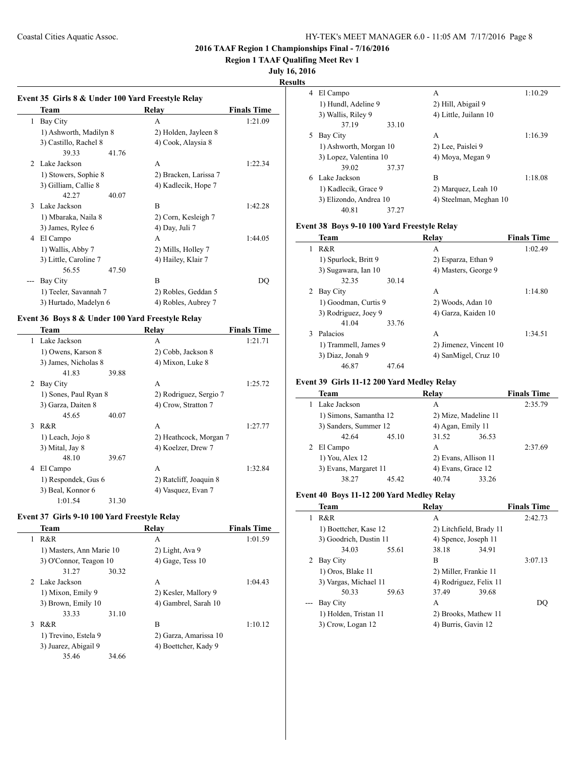**Region 1 TAAF Qualifing Meet Rev 1**

#### **July 16, 2016**

**Results**

 $\frac{1}{2}$ 

 $\overline{\phantom{a}}$ 

# **Event 35 Girls 8 & Under 100 Yard Freestyle Relay Team Relay Finals Time** 1 Bay City A 1:21.09 1) Ashworth, Madilyn 8 2) Holden, Jayleen 8 3) Castillo, Rachel 8 4) Cook, Alaysia 8 39.33 41.76 2 Lake Jackson A 1:22.34 1) Stowers, Sophie 8 2) Bracken, Larissa 7 3) Gilliam, Callie 8 4) Kadlecik, Hope 7 42.27 40.07 3 Lake Jackson B 1:42.28 1) Mbaraka, Naila 8 2) Corn, Kesleigh 7 3) James, Rylee 6 4) Day, Juli 7 4 El Campo A 1:44.05 1) Wallis, Abby 7 2) Mills, Holley 7 3) Little, Caroline 7 4) Hailey, Klair 7 56.55 47.50 --- Bay City B DQ 1) Teeler, Savannah 7 2) Robles, Geddan 5 3) Hurtado, Madelyn 6 4) Robles, Aubrey 7

#### **Event 36 Boys 8 & Under 100 Yard Freestyle Relay**

|   | Team                  |       | <b>Relay</b>           | <b>Finals Time</b> |
|---|-----------------------|-------|------------------------|--------------------|
| 1 | Lake Jackson          |       | A                      | 1:21.71            |
|   | 1) Owens, Karson 8    |       | 2) Cobb, Jackson 8     |                    |
|   | 3) James, Nicholas 8  |       | 4) Mixon, Luke 8       |                    |
|   | 41.83                 | 39.88 |                        |                    |
| 2 | Bay City              |       | A                      | 1:25.72            |
|   | 1) Sones, Paul Ryan 8 |       | 2) Rodriguez, Sergio 7 |                    |
|   | 3) Garza, Daiten 8    |       | 4) Crow, Stratton 7    |                    |
|   | 45.65                 | 40.07 |                        |                    |
| 3 | R&R                   |       | A                      | 1:27.77            |
|   | 1) Leach, Jojo 8      |       | 2) Heathcock, Morgan 7 |                    |
|   | 3) Mital, Jay 8       |       | 4) Koelzer, Drew 7     |                    |
|   | 48.10                 | 39.67 |                        |                    |
| 4 | El Campo              |       | A                      | 1:32.84            |
|   | 1) Respondek, Gus 6   |       | 2) Ratcliff, Joaquin 8 |                    |
|   | 3) Beal, Konnor 6     |       | 4) Vasquez, Evan 7     |                    |
|   | 1:01.54               | 31.30 |                        |                    |

## **Event 37 Girls 9-10 100 Yard Freestyle Relay**

|   | Team                     |       | Relav                 | <b>Finals Time</b> |
|---|--------------------------|-------|-----------------------|--------------------|
| 1 | R&R                      |       | А                     | 1:01.59            |
|   | 1) Masters, Ann Marie 10 |       | 2) Light, Ava 9       |                    |
|   | 3) O'Connor, Teagon 10   |       | $(4)$ Gage, Tess $10$ |                    |
|   | 31.27                    | 30.32 |                       |                    |
|   | 2 Lake Jackson           |       | A                     | 1:04.43            |
|   | 1) Mixon, Emily 9        |       | 2) Kesler, Mallory 9  |                    |
|   | 3) Brown, Emily 10       |       | 4) Gambrel, Sarah 10  |                    |
|   | 33.33                    | 31.10 |                       |                    |
| 3 | R&R                      |       | B                     | 1:10.12            |
|   | 1) Trevino, Estela 9     |       | 2) Garza, Amarissa 10 |                    |
|   | 3) Juarez, Abigail 9     |       | 4) Boettcher, Kady 9  |                    |
|   | 35.46                    | 34.66 |                       |                    |
|   |                          |       |                       |                    |

| 4 | El Campo               | A                      | 1:10.29 |
|---|------------------------|------------------------|---------|
|   | 1) Hundl, Adeline 9    | 2) Hill, Abigail 9     |         |
|   | 3) Wallis, Riley 9     | 4) Little, Juilann 10  |         |
|   | 37.19<br>33.10         |                        |         |
| 5 | Bay City               | A                      | 1:16.39 |
|   | 1) Ashworth, Morgan 10 | 2) Lee, Paislei 9      |         |
|   | 3) Lopez, Valentina 10 | 4) Moya, Megan 9       |         |
|   | 39.02<br>37.37         |                        |         |
| 6 | Lake Jackson           | в                      | 1:18.08 |
|   | 1) Kadlecik, Grace 9   | 2) Marquez, Leah 10    |         |
|   | 3) Elizondo, Andrea 10 | 4) Steelman, Meghan 10 |         |
|   | 40.81<br>37.27         |                        |         |

## **Event 38 Boys 9-10 100 Yard Freestyle Relay**

|   | Team                 |       | Relav                  | <b>Finals Time</b> |
|---|----------------------|-------|------------------------|--------------------|
| 1 | R&R                  |       | A                      | 1:02.49            |
|   | 1) Spurlock, Britt 9 |       | 2) Esparza, Ethan 9    |                    |
|   | 3) Sugawara, Ian 10  |       | 4) Masters, George 9   |                    |
|   | 32.35                | 30.14 |                        |                    |
| 2 | Bay City             |       | A                      | 1:14.80            |
|   | 1) Goodman, Curtis 9 |       | 2) Woods, Adan 10      |                    |
|   | 3) Rodriguez, Joey 9 |       | 4) Garza, Kaiden 10    |                    |
|   | 41.04                | 33.76 |                        |                    |
| 3 | Palacios             |       | A                      | 1:34.51            |
|   | 1) Trammell, James 9 |       | 2) Jimenez, Vincent 10 |                    |
|   | 3) Diaz, Jonah 9     |       | 4) SanMigel, Cruz 10   |                    |
|   | 46.87                | 47.64 |                        |                    |

#### **Event 39 Girls 11-12 200 Yard Medley Relay**

| <b>Team</b>            |       | Relay                |       | <b>Finals Time</b> |
|------------------------|-------|----------------------|-------|--------------------|
| Lake Jackson           |       | A                    |       | 2:35.79            |
| 1) Simons, Samantha 12 |       | 2) Mize, Madeline 11 |       |                    |
| 3) Sanders, Summer 12  |       | 4) Agan, Emily 11    |       |                    |
| 42.64                  | 45.10 | 31.52                | 36.53 |                    |
| 2 El Campo             |       | A                    |       | 2:37.69            |
| 1) You, Alex 12        |       | 2) Evans, Allison 11 |       |                    |
| 3) Evans, Margaret 11  |       | 4) Evans, Grace 12   |       |                    |
| 38.27                  | 45.42 | 40.74                | 33.26 |                    |

#### **Event 40 Boys 11-12 200 Yard Medley Relay**

| <b>Team</b>            | Relav |                         |       | <b>Finals Time</b> |
|------------------------|-------|-------------------------|-------|--------------------|
| R&R                    | A     |                         |       | 2:42.73            |
| 1) Boettcher, Kase 12  |       | 2) Litchfield, Brady 11 |       |                    |
| 3) Goodrich, Dustin 11 |       | 4) Spence, Joseph 11    |       |                    |
| 34.03                  | 55.61 | 38.18                   | 34.91 |                    |
| Bay City               | B     |                         |       | 3:07.13            |
| 1) Oros, Blake 11      |       | 2) Miller, Frankie 11   |       |                    |
| 3) Vargas, Michael 11  |       | 4) Rodriguez, Felix 11  |       |                    |
| 50.33                  | 59.63 | 37.49                   | 39.68 |                    |
| Bay City               | A     |                         |       | DO                 |
| 1) Holden, Tristan 11  |       | 2) Brooks, Mathew 11    |       |                    |
| 3) Crow, Logan 12      |       | 4) Burris, Gavin 12     |       |                    |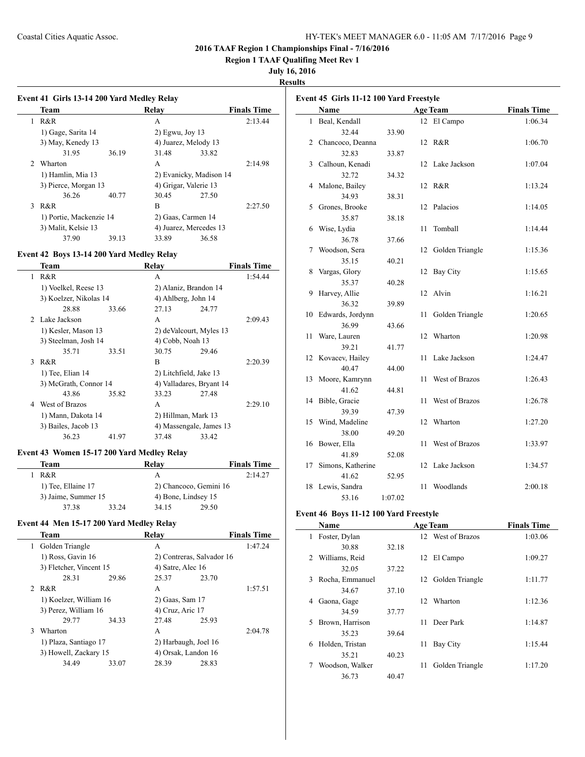**Region 1 TAAF Qualifing Meet Rev 1**

## **July 16, 2016**

**Results**

|                | <b>Team</b>             |       | Relay                 |                         | <b>Finals Time</b> |
|----------------|-------------------------|-------|-----------------------|-------------------------|--------------------|
|                | R&R                     |       | A                     |                         | 2:13.44            |
|                | 1) Gage, Sarita 14      |       | $2)$ Egwu, Joy 13     |                         |                    |
|                | 3) May, Kenedy 13       |       | 4) Juarez, Melody 13  |                         |                    |
|                | 31.95                   | 36.19 | 31.48                 | 33.82                   |                    |
| $\mathfrak{D}$ | Wharton                 |       | A                     |                         | 2:14.98            |
|                | 1) Hamlin, Mia 13       |       |                       | 2) Evanicky, Madison 14 |                    |
|                | 3) Pierce, Morgan 13    |       | 4) Grigar, Valerie 13 |                         |                    |
|                | 36.26                   | 40.77 | 30.45                 | 27.50                   |                    |
| 3              | R&R                     |       | B                     |                         | 2:27.50            |
|                | 1) Portie, Mackenzie 14 |       |                       | 2) Gaas, Carmen 14      |                    |
|                | 3) Malit, Kelsie 13     |       |                       | 4) Juarez, Mercedes 13  |                    |
|                |                         |       |                       |                         |                    |

#### **Event 42 Boys 13-14 200 Yard Medley Relay**

|               | Team                   |       | Relav                    |       | <b>Finals Time</b> |
|---------------|------------------------|-------|--------------------------|-------|--------------------|
| 1             | R&R                    |       | A                        |       | 1:54.44            |
|               | 1) Voelkel, Reese 13   |       | 2) Alaniz, Brandon 14    |       |                    |
|               | 3) Koelzer, Nikolas 14 |       | 4) Ahlberg, John 14      |       |                    |
|               | 28.88                  | 33.66 | 27.13                    | 24.77 |                    |
|               | 2 Lake Jackson         |       | A                        |       | 2:09.43            |
|               | 1) Kesler, Mason 13    |       | 2) deValcourt, Myles 13  |       |                    |
|               | 3) Steelman, Josh 14   |       | 4) Cobb, Noah 13         |       |                    |
|               | 35.71                  | 33.51 | 30.75                    | 29.46 |                    |
| $\mathcal{E}$ | R&R                    |       | B                        |       | 2:20.39            |
|               | 1) Tee, Elian 14       |       | 2) Litchfield, Jake 13   |       |                    |
|               | 3) McGrath, Connor 14  |       | 4) Valladares, Bryant 14 |       |                    |
|               | 43.86                  | 35.82 | 33.23                    | 27.48 |                    |
| 4             | West of Brazos         |       | A                        |       | 2:29.10            |
|               | 1) Mann, Dakota 14     |       | 2) Hillman, Mark 13      |       |                    |
|               | 3) Bailes, Jacob 13    |       | 4) Massengale, James 13  |       |                    |
|               | 36.23                  | 41.97 | 37.48                    | 33.42 |                    |
|               |                        |       |                          |       |                    |

## **Event 43 Women 15-17 200 Yard Medley Relay**

| Team |                     |       | Relav                  |       | <b>Finals Time</b> |
|------|---------------------|-------|------------------------|-------|--------------------|
| R&R  |                     |       | А                      |       | 2:14.27            |
|      | 1) Tee, Ellaine 17  |       | 2) Chancoco, Gemini 16 |       |                    |
|      | 3) Jaime, Summer 15 |       | 4) Bone, Lindsey 15    |       |                    |
|      | 3738                | 33.24 | 34 15                  | 29.50 |                    |

## **Event 44 Men 15-17 200 Yard Medley Relay**

|    | <b>Team</b>                                    |       | Relay                |                           | <b>Finals Time</b> |
|----|------------------------------------------------|-------|----------------------|---------------------------|--------------------|
| 1. | Golden Triangle                                |       | А                    |                           | 1:47.24            |
|    | 1) Ross, Gavin 16                              |       |                      | 2) Contreras, Salvador 16 |                    |
|    | 3) Fletcher, Vincent 15                        |       | 4) Satre, Alec 16    |                           |                    |
|    | 28.31                                          | 29.86 | 25.37                | 23.70                     |                    |
|    | 2 R&R                                          |       | A                    |                           | 1:57.51            |
|    | 1) Koelzer, William 16<br>3) Perez, William 16 |       | 2) Gaas, Sam 17      |                           |                    |
|    |                                                |       | 4) Cruz, Aric 17     |                           |                    |
|    | 29.77                                          | 34.33 | 27.48                | 25.93                     |                    |
| 3  | Wharton                                        |       | A                    |                           | 2:04.78            |
|    | 1) Plaza, Santiago 17<br>3) Howell, Zackary 15 |       | 2) Harbaugh, Joel 16 |                           |                    |
|    |                                                |       | 4) Orsak, Landon 16  |                           |                    |
|    | 34.49                                          | 33.07 | 28.39                | 28.83                     |                    |
|    |                                                |       |                      |                           |                    |

|                | Event 45 Girls 11-12 100 Yard Freestyle |         |    |                 |                    |  |  |
|----------------|-----------------------------------------|---------|----|-----------------|--------------------|--|--|
|                | Name                                    |         |    | <b>Age Team</b> | <b>Finals Time</b> |  |  |
| 1              | Beal, Kendall                           |         |    | 12 El Campo     | 1:06.34            |  |  |
|                | 32.44                                   | 33.90   |    |                 |                    |  |  |
| $\overline{2}$ | Chancoco, Deanna                        |         |    | 12 R&R          | 1:06.70            |  |  |
|                | 32.83                                   | 33.87   |    |                 |                    |  |  |
| 3              | Calhoun, Kenadi                         |         | 12 | Lake Jackson    | 1:07.04            |  |  |
|                | 32.72                                   | 34.32   |    |                 |                    |  |  |
| 4              | Malone, Bailey                          |         | 12 | R&R             | 1:13.24            |  |  |
|                | 34.93                                   | 38.31   |    |                 |                    |  |  |
| 5              | Grones, Brooke                          |         | 12 | Palacios        | 1:14.05            |  |  |
|                | 35.87                                   | 38.18   |    |                 |                    |  |  |
| 6              | Wise, Lydia                             |         | 11 | Tomball         | 1:14.44            |  |  |
|                | 36.78                                   | 37.66   |    |                 |                    |  |  |
| 7              | Woodson, Sera                           |         | 12 | Golden Triangle | 1:15.36            |  |  |
|                | 35.15                                   | 40.21   |    |                 |                    |  |  |
| 8              | Vargas, Glory                           |         | 12 | <b>Bay City</b> | 1:15.65            |  |  |
|                | 35.37                                   | 40.28   |    |                 |                    |  |  |
| 9              | Harvey, Allie                           |         | 12 | Alvin           | 1:16.21            |  |  |
|                | 36.32                                   | 39.89   |    |                 |                    |  |  |
| 10             | Edwards, Jordynn                        |         | 11 | Golden Triangle | 1:20.65            |  |  |
|                | 36.99                                   | 43.66   |    |                 |                    |  |  |
| 11             | Ware, Lauren                            |         | 12 | Wharton         | 1:20.98            |  |  |
|                | 39.21                                   | 41.77   |    |                 |                    |  |  |
| 12             | Kovacev, Hailey                         |         | 11 | Lake Jackson    | 1:24.47            |  |  |
|                | 40.47                                   | 44.00   |    |                 |                    |  |  |
| 13             | Moore, Kamrynn                          |         | 11 | West of Brazos  | 1:26.43            |  |  |
|                | 41.62                                   | 44.81   |    |                 |                    |  |  |
| 14             | Bible, Gracie                           |         | 11 | West of Brazos  | 1:26.78            |  |  |
|                | 39.39                                   | 47.39   |    |                 |                    |  |  |
| 15             | Wind, Madeline                          |         | 12 | Wharton         | 1:27.20            |  |  |
|                | 38.00                                   | 49.20   |    |                 |                    |  |  |
| 16             | Bower, Ella                             |         | 11 | West of Brazos  | 1:33.97            |  |  |
|                | 41.89                                   | 52.08   |    |                 |                    |  |  |
| 17             | Simons, Katherine                       |         | 12 | Lake Jackson    | 1:34.57            |  |  |
|                | 41.62                                   | 52.95   |    |                 |                    |  |  |
|                |                                         |         |    |                 |                    |  |  |
| 18             | Lewis, Sandra<br>53.16                  | 1:07.02 | 11 | Woodlands       | 2:00.18            |  |  |

## **Event 46 Boys 11-12 100 Yard Freestyle**

 $\overline{\phantom{a}}$ 

| Name                 |       | <b>Age Team</b>       | <b>Finals Time</b> |
|----------------------|-------|-----------------------|--------------------|
| Foster, Dylan<br>L   |       | 12 West of Brazos     | 1:03.06            |
| 30.88                | 32.18 |                       |                    |
| Williams, Reid<br>2  |       | El Campo<br>12        | 1:09.27            |
| 32.05                | 37.22 |                       |                    |
| Rocha, Emmanuel<br>3 |       | Golden Triangle<br>12 | 1:11.77            |
| 34.67                | 37.10 |                       |                    |
| Gaona, Gage<br>4     |       | Wharton<br>12         | 1:12.36            |
| 34.59                | 37.77 |                       |                    |
| Brown, Harrison<br>5 |       | Deer Park<br>11       | 1:14.87            |
| 35.23                | 39.64 |                       |                    |
| Holden, Tristan<br>6 |       | 11<br>Bay City        | 1:15.44            |
| 35.21                | 40.23 |                       |                    |
| Woodson, Walker      |       | Golden Triangle<br>11 | 1:17.20            |
| 36.73                | 40.47 |                       |                    |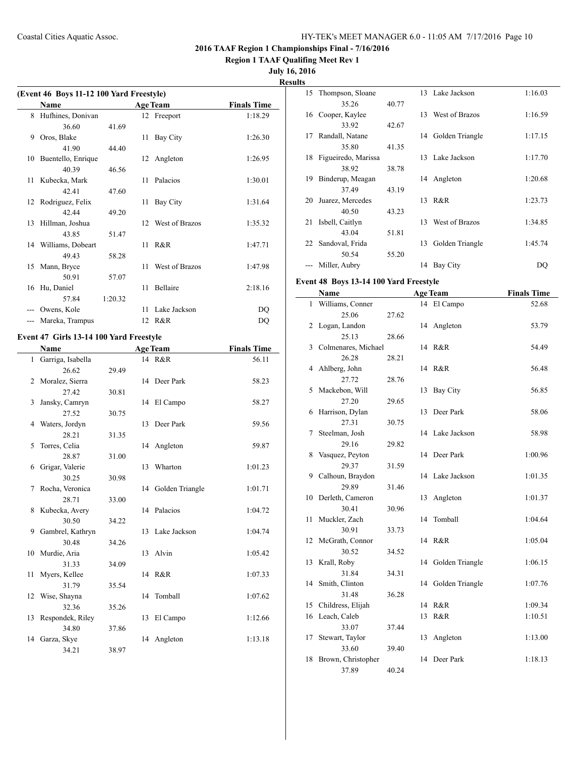**Region 1 TAAF Qualifing Meet Rev 1**

# **July 16, 2016**

**Result** 

 $\frac{1}{2}$ 

|    | (Event 46 Boys 11-12 100 Yard Freestyle) |         |                 |                 |                    |  |  |
|----|------------------------------------------|---------|-----------------|-----------------|--------------------|--|--|
|    | <b>Name</b>                              |         |                 | <b>Age Team</b> | <b>Finals Time</b> |  |  |
| 8  | Hufhines, Donivan                        |         |                 | 12 Freeport     | 1:18.29            |  |  |
|    | 36.60                                    | 41.69   |                 |                 |                    |  |  |
| 9  | Oros, Blake                              |         | 11              | Bay City        | 1:26.30            |  |  |
|    | 41.90                                    | 44.40   |                 |                 |                    |  |  |
| 10 | Buentello, Enrique                       |         | 12              | Angleton        | 1:26.95            |  |  |
|    | 40.39                                    | 46.56   |                 |                 |                    |  |  |
| 11 | Kubecka, Mark                            |         | 11              | Palacios        | 1:30.01            |  |  |
|    | 42.41                                    | 47.60   |                 |                 |                    |  |  |
| 12 | Rodriguez, Felix                         |         | 11              | Bay City        | 1:31.64            |  |  |
|    | 42.44                                    | 49.20   |                 |                 |                    |  |  |
|    | 13 Hillman, Joshua                       |         | 12 <sub>1</sub> | West of Brazos  | 1:35.32            |  |  |
|    | 43.85                                    | 51.47   |                 |                 |                    |  |  |
|    | 14 Williams, Dobeart                     |         | 11              | R&R             | 1:47.71            |  |  |
|    | 49.43                                    | 58.28   |                 |                 |                    |  |  |
| 15 | Mann, Bryce                              |         | 11              | West of Brazos  | 1:47.98            |  |  |
|    | 50.91                                    | 57.07   |                 |                 |                    |  |  |
| 16 | Hu, Daniel                               |         | 11              | <b>Bellaire</b> | 2:18.16            |  |  |
|    | 57.84                                    | 1:20.32 |                 |                 |                    |  |  |
|    | Owens, Kole                              |         | 11              | Lake Jackson    | DQ                 |  |  |
|    | Mareka, Trampus                          |         | 12              | R&R             | DQ                 |  |  |

# **Event 47 Girls 13-14 100 Yard Freestyle**

|              | <b>Name</b>         |       |    | <b>Age Team</b>    | <b>Finals Time</b> |
|--------------|---------------------|-------|----|--------------------|--------------------|
| $\mathbf{1}$ | Garriga, Isabella   |       |    | 14 R&R             | 56.11              |
|              | 26.62               | 29.49 |    |                    |                    |
| 2            | Moralez, Sierra     |       |    | 14 Deer Park       | 58.23              |
|              | 27.42               | 30.81 |    |                    |                    |
| 3            | Jansky, Camryn      |       |    | 14 El Campo        | 58.27              |
|              | 27.52               | 30.75 |    |                    |                    |
|              | 4 Waters, Jordyn    |       |    | 13 Deer Park       | 59.56              |
|              | 28.21               | 31.35 |    |                    |                    |
| 5            | Torres, Celia       |       |    | 14 Angleton        | 59.87              |
|              | 28.87               | 31.00 |    |                    |                    |
| 6            | Grigar, Valerie     |       |    | 13 Wharton         | 1:01.23            |
|              | 30.25               | 30.98 |    |                    |                    |
| 7            | Rocha, Veronica     |       |    | 14 Golden Triangle | 1:01.71            |
|              | 28.71               | 33.00 |    |                    |                    |
| 8            | Kubecka, Avery      |       |    | 14 Palacios        | 1:04.72            |
|              | 30.50               | 34.22 |    |                    |                    |
| 9            | Gambrel, Kathryn    |       |    | 13 Lake Jackson    | 1:04.74            |
|              | 30.48               | 34.26 |    |                    |                    |
|              | 10 Murdie, Aria     |       |    | 13 Alvin           | 1:05.42            |
|              | 31.33               | 34.09 |    |                    |                    |
| 11           | Myers, Kellee       |       |    | 14 R&R             | 1:07.33            |
|              | 31.79               | 35.54 |    |                    |                    |
| 12           | Wise, Shayna        |       | 14 | Tomball            | 1:07.62            |
|              | 32.36               | 35.26 |    |                    |                    |
|              | 13 Respondek, Riley |       |    | 13 El Campo        | 1:12.66            |
|              | 34.80               | 37.86 |    |                    |                    |
|              | 14 Garza, Skye      |       | 14 | Angleton           | 1:13.18            |
|              | 34.21               | 38.97 |    |                    |                    |
|              |                     |       |    |                    |                    |

| .<br>S |                     |       |     |                 |         |
|--------|---------------------|-------|-----|-----------------|---------|
| 15     | Thompson, Sloane    |       |     | 13 Lake Jackson | 1:16.03 |
|        | 35.26               | 40.77 |     |                 |         |
| 16     | Cooper, Kaylee      |       | 13  | West of Brazos  | 1:16.59 |
|        | 33.92               | 42.67 |     |                 |         |
| 17     | Randall, Natane     |       | 14  | Golden Triangle | 1:17.15 |
|        | 35.80               | 41.35 |     |                 |         |
| 18     | Figueiredo, Marissa |       | 13. | Lake Jackson    | 1:17.70 |
|        | 38.92               | 38.78 |     |                 |         |
| 19     | Binderup, Meagan    |       | 14  | Angleton        | 1:20.68 |
|        | 37.49               | 43.19 |     |                 |         |
| 20     | Juarez, Mercedes    |       | 13. | R&R             | 1:23.73 |
|        | 40.50               | 43.23 |     |                 |         |
| 21     | Isbell, Caitlyn     |       | 13  | West of Brazos  | 1:34.85 |
|        | 43.04               | 51.81 |     |                 |         |
| 22     | Sandoval, Frida     |       | 13  | Golden Triangle | 1:45.74 |
|        | 50.54               | 55.20 |     |                 |         |
|        | Miller, Aubry       |       | 14  | Bay City        | DO      |
|        |                     |       |     |                 |         |

## **Event 48 Boys 13-14 100 Yard Freestyle**

|              | Name                |       |    | <b>Age Team</b> | <b>Finals Time</b> |
|--------------|---------------------|-------|----|-----------------|--------------------|
| $\mathbf{1}$ | Williams, Conner    |       |    | 14 El Campo     | 52.68              |
|              | 25.06               | 27.62 |    |                 |                    |
| 2            | Logan, Landon       |       | 14 | Angleton        | 53.79              |
|              | 25.13               | 28.66 |    |                 |                    |
| 3            | Colmenares, Michael |       |    | 14 R&R          | 54.49              |
|              | 26.28               | 28.21 |    |                 |                    |
| 4            | Ahlberg, John       |       |    | 14 R&R          | 56.48              |
|              | 27.72               | 28.76 |    |                 |                    |
| 5            | Mackebon, Will      |       | 13 | Bay City        | 56.85              |
|              | 27.20               | 29.65 |    |                 |                    |
| 6            | Harrison, Dylan     |       | 13 | Deer Park       | 58.06              |
|              | 27.31               | 30.75 |    |                 |                    |
| 7            | Steelman, Josh      |       |    | 14 Lake Jackson | 58.98              |
|              | 29.16               | 29.82 |    |                 |                    |
| 8            | Vasquez, Peyton     |       | 14 | Deer Park       | 1:00.96            |
|              | 29.37               | 31.59 |    |                 |                    |
| 9.           | Calhoun, Braydon    |       | 14 | Lake Jackson    | 1:01.35            |
|              | 29.89               | 31.46 |    |                 |                    |
| 10           | Derleth, Cameron    |       | 13 | Angleton        | 1:01.37            |
|              | 30.41               | 30.96 |    |                 |                    |
| 11           | Muckler, Zach       |       | 14 | Tomball         | 1:04.64            |
|              | 30.91               | 33.73 |    |                 |                    |
| 12           | McGrath, Connor     |       | 14 | R&R             | 1:05.04            |
|              | 30.52               | 34.52 |    |                 |                    |
| 13           | Krall, Roby         |       | 14 | Golden Triangle | 1:06.15            |
|              | 31.84               | 34.31 |    |                 |                    |
| 14           | Smith, Clinton      |       | 14 | Golden Triangle | 1:07.76            |
|              | 31.48               | 36.28 |    |                 |                    |
| 15           | Childress, Elijah   |       | 14 | R&R             | 1:09.34            |
| 16           | Leach, Caleb        |       | 13 | R&R             | 1:10.51            |
|              | 33.07               | 37.44 |    |                 |                    |
| 17           | Stewart, Taylor     |       | 13 | Angleton        | 1:13.00            |
|              | 33.60               | 39.40 |    |                 |                    |
| 18           | Brown, Christopher  |       | 14 | Deer Park       | 1:18.13            |
|              | 37.89               | 40.24 |    |                 |                    |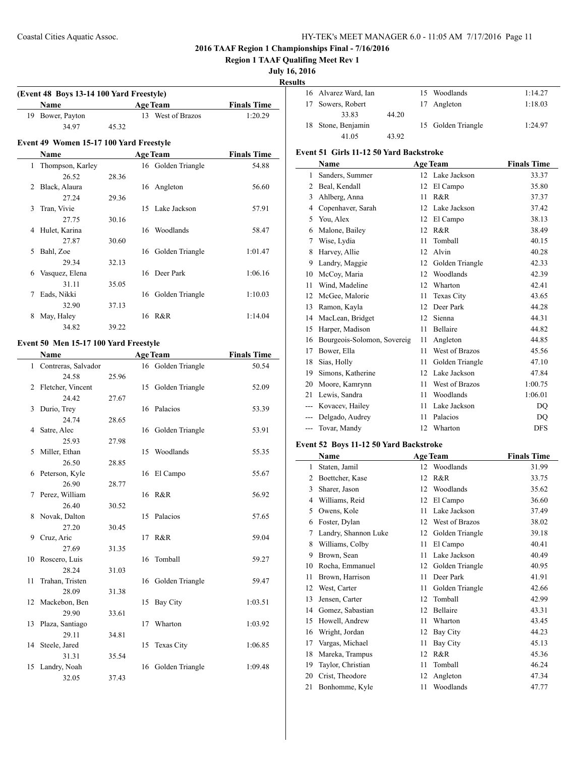**Region 1 TAAF Qualifing Meet Rev 1**

#### **July 16, 2016**

**Results**

 $\overline{a}$ 

| Name             |       | <b>Age Team</b>   | <b>Finals Time</b> |
|------------------|-------|-------------------|--------------------|
| 19 Bower, Payton |       | 13 West of Brazos | 1:20.29            |
| 34 97            | 45 32 |                   |                    |

## **Name Age Team Finals Time** 1 Thompson, Karley 16 Golden Triangle 54.88 26.52 28.36 2 Black, Alaura 16 Angleton 56.60 27.24 29.36 3 Tran, Vivie 15 Lake Jackson 57.91 27.75 30.16 4 Hulet, Karina 16 Woodlands 58.47 27.87 30.60 5 Bahl, Zoe 16 Golden Triangle 1:01.47 29.34 32.13 6 Vasquez, Elena 16 Deer Park 1:06.16 31.11 35.05 7 Eads, Nikki 16 Golden Triangle 1:10.03 32.90 37.13 8 May, Haley 16 R&R 1:14.04 34.82 39.22

#### **Event 50 Men 15-17 100 Yard Freestyle**

|              | Name                |       |    | <b>Age Team</b>    | <b>Finals Time</b> |
|--------------|---------------------|-------|----|--------------------|--------------------|
| $\mathbf{1}$ | Contreras, Salvador |       |    | 16 Golden Triangle | 50.54              |
|              | 24.58               | 25.96 |    |                    |                    |
| 2            | Fletcher, Vincent   |       |    | 15 Golden Triangle | 52.09              |
|              | 24.42               | 27.67 |    |                    |                    |
| 3            | Durio, Trey         |       | 16 | Palacios           | 53.39              |
|              | 24.74               | 28.65 |    |                    |                    |
| 4            | Satre, Alec         |       |    | 16 Golden Triangle | 53.91              |
|              | 25.93               | 27.98 |    |                    |                    |
| 5            | Miller, Ethan       |       | 15 | Woodlands          | 55.35              |
|              | 26.50               | 28.85 |    |                    |                    |
| 6            | Peterson, Kyle      |       | 16 | El Campo           | 55.67              |
|              | 26.90               | 28.77 |    |                    |                    |
| 7            | Perez, William      |       |    | 16 R&R             | 56.92              |
|              | 26.40               | 30.52 |    |                    |                    |
| 8            | Novak, Dalton       |       | 15 | Palacios           | 57.65              |
|              | 27.20               | 30.45 |    |                    |                    |
| 9            | Cruz, Aric          |       | 17 | R&R                | 59.04              |
|              | 27.69               | 31.35 |    |                    |                    |
| 10           | Roscero, Luis       |       | 16 | Tomball            | 59.27              |
|              | 28.24               | 31.03 |    |                    |                    |
| 11           | Trahan, Tristen     |       |    | 16 Golden Triangle | 59.47              |
|              | 28.09               | 31.38 |    |                    |                    |
| 12           | Mackebon, Ben       |       | 15 | Bay City           | 1:03.51            |
|              | 29.90               | 33.61 |    |                    |                    |
| 13           | Plaza, Santiago     |       | 17 | Wharton            | 1:03.92            |
|              | 29.11               | 34.81 |    |                    |                    |
| 14           | Steele, Jared       |       | 15 | Texas City         | 1:06.85            |
|              | 31.31               | 35.54 |    |                    |                    |
| 15           | Landry, Noah        |       |    | 16 Golden Triangle | 1:09.48            |
|              | 32.05               | 37.43 |    |                    |                    |

| $\mathbf{r}$ |                      |       |                    |         |
|--------------|----------------------|-------|--------------------|---------|
|              | 16 Alvarez Ward, Ian |       | 15 Woodlands       | 1:14.27 |
|              | 17 Sowers, Robert    |       | 17 Angleton        | 1:18.03 |
|              | 33.83                | 44.20 |                    |         |
|              | 18 Stone, Benjamin   |       | 15 Golden Triangle | 1:24.97 |
|              | 41.05                | 43.92 |                    |         |

## **Event 51 Girls 11-12 50 Yard Backstroke**

|       | <b>Name</b>                 |    | <b>Age Team</b>   | <b>Finals Time</b> |
|-------|-----------------------------|----|-------------------|--------------------|
| 1     | Sanders, Summer             | 12 | Lake Jackson      | 33.37              |
| 2     | Beal, Kendall               | 12 | El Campo          | 35.80              |
| 3     | Ahlberg, Anna               | 11 | R&R               | 37.37              |
| 4     | Copenhaver, Sarah           | 12 | Lake Jackson      | 37.42              |
| 5     | You, Alex                   | 12 | El Campo          | 38.13              |
| 6     | Malone, Bailey              | 12 | R&R               | 38.49              |
| 7     | Wise, Lydia                 | 11 | Tomball           | 40.15              |
| 8     | Harvey, Allie               | 12 | Alvin             | 40.28              |
| 9     | Landry, Maggie              | 12 | Golden Triangle   | 42.33              |
| 10    | McCoy, Maria                | 12 | Woodlands         | 42.39              |
| 11    | Wind, Madeline              | 12 | Wharton           | 42.41              |
| 12    | McGee, Malorie              | 11 | <b>Texas City</b> | 43.65              |
| 13    | Ramon, Kayla                | 12 | Deer Park         | 44.28              |
| 14    | MacLean, Bridget            | 12 | Sienna            | 44.31              |
| 15    | Harper, Madison             | 11 | Bellaire          | 44.82              |
| 16    | Bourgeois-Solomon, Sovereig | 11 | Angleton          | 44.85              |
| 17    | Bower, Ella                 | 11 | West of Brazos    | 45.56              |
| 18    | Sias, Holly                 | 11 | Golden Triangle   | 47.10              |
| 19    | Simons, Katherine           | 12 | Lake Jackson      | 47.84              |
| 20    | Moore, Kamrynn              | 11 | West of Brazos    | 1:00.75            |
| 21    | Lewis, Sandra               | 11 | Woodlands         | 1:06.01            |
| $---$ | Kovacev, Hailey             | 11 | Lake Jackson      | DO                 |
|       | Delgado, Audrey             | 11 | Palacios          | DO                 |
| ---   | Tovar, Mandy                | 12 | Wharton           | <b>DFS</b>         |

#### **Event 52 Boys 11-12 50 Yard Backstroke**

|                | Name                 |    | <b>Age Team</b> | <b>Finals Time</b> |
|----------------|----------------------|----|-----------------|--------------------|
| 1              | Staten, Jamil        | 12 | Woodlands       | 31.99              |
| $\overline{c}$ | Boettcher, Kase      | 12 | R&R             | 33.75              |
| 3              | Sharer, Jason        | 12 | Woodlands       | 35.62              |
| 4              | Williams, Reid       | 12 | El Campo        | 36.60              |
| 5              | Owens, Kole          | 11 | Lake Jackson    | 37.49              |
| 6              | Foster, Dylan        | 12 | West of Brazos  | 38.02              |
| 7              | Landry, Shannon Luke | 12 | Golden Triangle | 39.18              |
| 8              | Williams, Colby      | 11 | El Campo        | 40.41              |
| 9              | Brown, Sean          | 11 | Lake Jackson    | 40.49              |
| 10             | Rocha, Emmanuel      | 12 | Golden Triangle | 40.95              |
| 11             | Brown, Harrison      | 11 | Deer Park       | 41.91              |
| 12             | West, Carter         | 11 | Golden Triangle | 42.66              |
| 13             | Jensen, Carter       | 12 | Tomball         | 42.99              |
| 14             | Gomez, Sabastian     | 12 | Bellaire        | 43.31              |
| 15             | Howell, Andrew       | 11 | Wharton         | 43.45              |
| 16             | Wright, Jordan       | 12 | Bay City        | 44.23              |
| 17             | Vargas, Michael      | 11 | <b>Bay City</b> | 45.13              |
| 18             | Mareka, Trampus      | 12 | R&R             | 45.36              |
| 19             | Taylor, Christian    | 11 | Tomball         | 46.24              |
| 20             | Crist, Theodore      | 12 | Angleton        | 47.34              |
| 21             | Bonhomme, Kyle       | 11 | Woodlands       | 47.77              |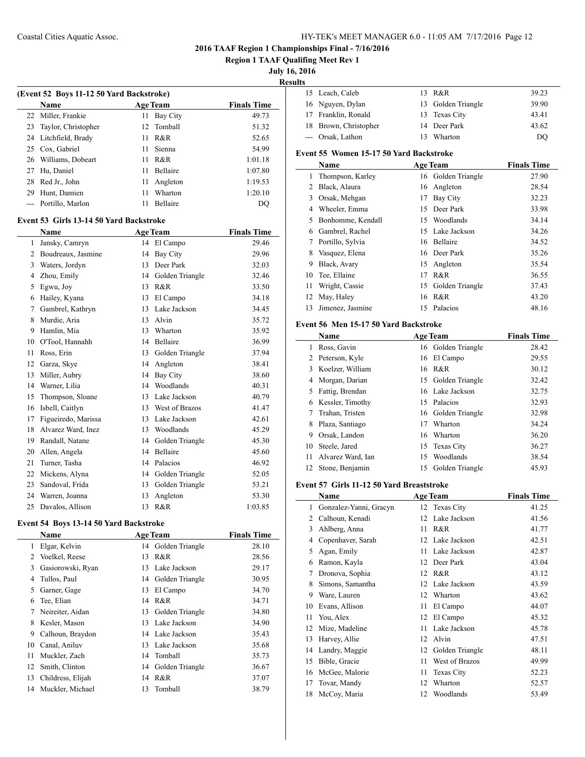**Region 1 TAAF Qualifing Meet Rev 1**

# **July 16, 2016**

 $\overline{\phantom{a}}$ 

**Results**

| 15 Leach, Caleb       | 13 R&R             | 39.23 |
|-----------------------|--------------------|-------|
| 16 Nguyen, Dylan      | 13 Golden Triangle | 39.90 |
| 17 Franklin, Ronald   | 13 Texas City      | 43.41 |
| 18 Brown, Christopher | 14 Deer Park       | 43.62 |
| --- Orsak, Lathon     | 13 Wharton         | DO    |

# **Event 55 Women 15-17 50 Yard Backstroke**

|    | Name              |    | <b>Age Team</b>    | <b>Finals Time</b> |
|----|-------------------|----|--------------------|--------------------|
| 1  | Thompson, Karley  |    | 16 Golden Triangle | 27.90              |
| 2  | Black, Alaura     |    | 16 Angleton        | 28.54              |
| 3  | Orsak, Mehgan     | 17 | Bay City           | 32.23              |
| 4  | Wheeler, Emma     | 15 | Deer Park          | 33.98              |
| 5  | Bonhomme, Kendall | 15 | Woodlands          | 34.14              |
| 6  | Gambrel, Rachel   |    | 15 Lake Jackson    | 34.26              |
| 7  | Portillo, Sylvia  | 16 | Bellaire           | 34.52              |
| 8  | Vasquez, Elena    |    | 16 Deer Park       | 35.26              |
| 9  | Black, Avary      |    | 15 Angleton        | 35.54              |
| 10 | Tee, Ellaine      | 17 | R & R              | 36.55              |
| 11 | Wright, Cassie    |    | 15 Golden Triangle | 37.43              |
| 12 | May, Haley        | 16 | R&R                | 43.20              |
| 13 | Jimenez, Jasmine  | 15 | Palacios           | 48.16              |

#### **Event 56 Men 15-17 50 Yard Backstroke**

|    | Name              |    | <b>Age Team</b>    | <b>Finals Time</b> |
|----|-------------------|----|--------------------|--------------------|
|    | Ross, Gavin       |    | 16 Golden Triangle | 28.42              |
| 2  | Peterson, Kyle    | 16 | El Campo           | 29.55              |
| 3  | Koelzer, William  |    | 16 R&R             | 30.12              |
| 4  | Morgan, Darian    |    | 15 Golden Triangle | 32.42              |
| 5. | Fattig, Brendan   |    | 16 Lake Jackson    | 32.75              |
| 6  | Kessler, Timothy  |    | 15 Palacios        | 32.93              |
|    | Trahan, Tristen   |    | 16 Golden Triangle | 32.98              |
| 8  | Plaza, Santiago   | 17 | Wharton            | 34.24              |
| 9  | Orsak, Landon     | 16 | Wharton            | 36.20              |
| 10 | Steele, Jared     |    | 15 Texas City      | 36.27              |
| 11 | Alvarez Ward, Ian | 15 | Woodlands          | 38.54              |
| 12 | Stone, Benjamin   |    | 15 Golden Triangle | 45.93              |

#### **Event 57 Girls 11-12 50 Yard Breaststroke**

|    | Name                   |    | <b>Age Team</b>   | <b>Finals Time</b> |
|----|------------------------|----|-------------------|--------------------|
| 1  | Gonzalez-Yanni, Gracyn |    | 12 Texas City     | 41.25              |
| 2  | Calhoun, Kenadi        | 12 | Lake Jackson      | 41.56              |
| 3  | Ahlberg, Anna          | 11 | R&R               | 41.77              |
| 4  | Copenhaver, Sarah      | 12 | Lake Jackson      | 42.51              |
| 5  | Agan, Emily            | 11 | Lake Jackson      | 42.87              |
| 6  | Ramon, Kayla           | 12 | Deer Park         | 43.04              |
| 7  | Dronova, Sophia        | 12 | R&R               | 43.12              |
| 8  | Simons, Samantha       | 12 | Lake Jackson      | 43.59              |
| 9  | Ware, Lauren           | 12 | Wharton           | 43.62              |
| 10 | Evans, Allison         | 11 | El Campo          | 44.07              |
| 11 | You, Alex              | 12 | El Campo          | 45.32              |
| 12 | Mize, Madeline         | 11 | Lake Jackson      | 45.78              |
| 13 | Harvey, Allie          | 12 | Alvin             | 47.51              |
| 14 | Landry, Maggie         | 12 | Golden Triangle   | 48.11              |
| 15 | Bible, Gracie          | 11 | West of Brazos    | 49.99              |
| 16 | McGee, Malorie         | 11 | <b>Texas City</b> | 52.23              |
| 17 | Tovar, Mandy           | 12 | Wharton           | 52.57              |
| 18 | McCoy, Maria           | 12 | Woodlands         | 53.49              |

| (Event 52 Boys 11-12 50 Yard Backstroke)      |                                         |     |                    |                    |  |
|-----------------------------------------------|-----------------------------------------|-----|--------------------|--------------------|--|
|                                               | Name                                    |     | <b>Age Team</b>    | <b>Finals Time</b> |  |
| 22                                            | Miller, Frankie                         | 11  | <b>Bay City</b>    | 49.73              |  |
| 23                                            | Taylor, Christopher                     | 12. | Tomball            | 51.32              |  |
|                                               | 24 Litchfield, Brady                    | 11  | R&R                | 52.65              |  |
|                                               | 25 Cox, Gabriel                         | 11  | Sienna             | 54.99              |  |
|                                               | 26 Williams, Dobeart                    | 11  | R&R                | 1:01.18            |  |
|                                               | 27 Hu, Daniel                           | 11  | Bellaire           | 1:07.80            |  |
| 28                                            | Red Jr., John                           | 11  | Angleton           | 1:19.53            |  |
|                                               | 29 Hunt, Damien                         | 11  | Wharton            | 1:20.10            |  |
|                                               | --- Portillo, Marlon                    | 11  | <b>Bellaire</b>    | DQ                 |  |
|                                               | Event 53 Girls 13-14 50 Yard Backstroke |     |                    |                    |  |
| <b>Finals Time</b><br><b>Age Team</b><br>Name |                                         |     |                    |                    |  |
| $\mathbf{1}$                                  | Jansky, Camryn                          |     | 14 El Campo        | 29.46              |  |
|                                               | 2 Boudreaux, Jasmine                    | 14  | <b>Bay City</b>    | 29.96              |  |
|                                               | 3 Waters, Jordyn                        | 13  | Deer Park          | 32.03              |  |
|                                               | 4 Zhou, Emily                           |     | 14 Golden Triangle | 32.46              |  |
|                                               | 5 Egwu, Joy                             | 13  | R&R                | 33.50              |  |
|                                               | 6 Hailey, Kyana                         |     | 13 El Campo        | 34.18              |  |
|                                               | 7 Gambrel, Kathryn                      |     | 13 Lake Jackson    | 34.45              |  |
| 8                                             | Murdie, Aria                            |     | 13 Alvin           | 35.72              |  |
|                                               | 9 Hamlin, Mia                           | 13  | Wharton            | 35.92              |  |
|                                               | 10 O'Tool, Hannahh                      | 14  | Bellaire           | 36.99              |  |
| 11                                            | Ross, Erin                              |     | 13 Golden Triangle | 37.94              |  |
|                                               | 12 Garza, Skye                          | 14  | Angleton           | 38.41              |  |
| 13                                            | Miller, Aubry                           | 14  | Bay City           | 38.60              |  |
|                                               | 14 Warner, Lilia                        |     | 14 Woodlands       | 40.31              |  |
| 15                                            | Thompson, Sloane                        |     | 13 Lake Jackson    | 40.79              |  |
|                                               | 16 Isbell, Caitlyn                      |     | 13 West of Brazos  | 41.47              |  |
| 17                                            | Figueiredo, Marissa                     | 13  | Lake Jackson       | 42.61              |  |
| 18                                            | Alvarez Ward, Inez                      | 13  | Woodlands          | 45.29              |  |
| 19                                            | Randall, Natane                         |     | 14 Golden Triangle | 45.30              |  |
|                                               | 20 Allen, Angela                        |     | 14 Bellaire        | 45.60              |  |
| 21                                            | Turner, Tasha                           |     | 14 Palacios        | 46.92              |  |
| 22                                            | Mickens, Alyna                          |     | 14 Golden Triangle | 52.05              |  |
| 23                                            | Sandoval, Frida                         |     | 13 Golden Triangle | 53.21              |  |
| 24                                            | Warren, Joanna                          | 13  | Angleton           | 53.30              |  |
| 25                                            | Davalos, Allison                        | 13  | R&R                | 1:03.85            |  |
|                                               |                                         |     |                    |                    |  |

## **Event 54 Boys 13-14 50 Yard Backstroke**

|    | <b>Name</b>       |    | <b>Age Team</b>    | <b>Finals Time</b> |
|----|-------------------|----|--------------------|--------------------|
| 1  | Elgar, Kelvin     | 14 | Golden Triangle    | 28.10              |
| 2  | Voelkel, Reese    | 13 | R&R                | 28.56              |
| 3  | Gasiorowski, Ryan | 13 | Lake Jackson       | 29.17              |
| 4  | Tullos, Paul      | 14 | Golden Triangle    | 30.95              |
| 5  | Garner, Gage      | 13 | El Campo           | 34.70              |
| 6  | Tee, Elian        | 14 | R&R                | 34.71              |
| 7  | Neireiter, Aidan  | 13 | Golden Triangle    | 34.80              |
| 8  | Kesler, Mason     | 13 | Lake Jackson       | 34.90              |
| 9  | Calhoun, Braydon  |    | 14 Lake Jackson    | 35.43              |
| 10 | Canal, Aniluv     | 13 | Lake Jackson       | 35.68              |
| 11 | Muckler, Zach     | 14 | Tomball            | 35.73              |
| 12 | Smith, Clinton    |    | 14 Golden Triangle | 36.67              |
| 13 | Childress, Elijah | 14 | R&R                | 37.07              |
| 14 | Muckler, Michael  | 13 | Tomball            | 38.79              |
|    |                   |    |                    |                    |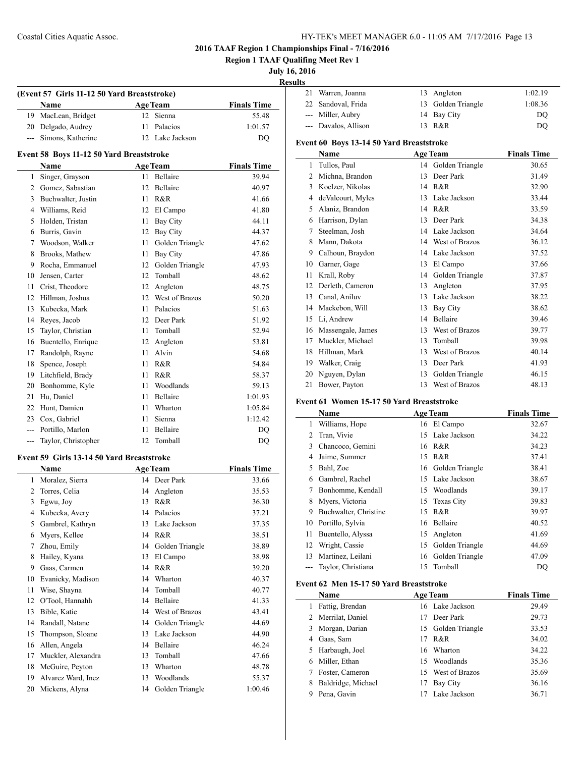**(Event 57 Girls 11-12 50 Yard Breaststroke)**

## **2016 TAAF Region 1 Championships Final - 7/16/2016**

**Region 1 TAAF Qualifing Meet Rev 1**

**July 16, 2016**

**Result** 

 $\overline{\phantom{0}}$ 

| ılts |                      |                    |         |
|------|----------------------|--------------------|---------|
|      | 21 Warren, Joanna    | 13 Angleton        | 1:02.19 |
|      | 22 Sandoval, Frida   | 13 Golden Triangle | 1:08.36 |
|      | --- Miller, Aubry    | 14 Bay City        | DO      |
|      | --- Davalos, Allison | 13 R&R             | DO      |
|      |                      |                    |         |

# **Event 60 Boys 13-14 50 Yard Breaststroke**

|    | Name               |    | <b>Age Team</b> | <b>Finals Time</b> |
|----|--------------------|----|-----------------|--------------------|
| 1  | Tullos, Paul       | 14 | Golden Triangle | 30.65              |
| 2  | Michna, Brandon    | 13 | Deer Park       | 31.49              |
| 3  | Koelzer, Nikolas   | 14 | R&R             | 32.90              |
| 4  | de Valcourt, Myles | 13 | Lake Jackson    | 33.44              |
| 5  | Alaniz, Brandon    | 14 | R&R             | 33.59              |
| 6  | Harrison, Dylan    | 13 | Deer Park       | 34.38              |
| 7  | Steelman, Josh     | 14 | Lake Jackson    | 34.64              |
| 8  | Mann, Dakota       | 14 | West of Brazos  | 36.12              |
| 9  | Calhoun, Braydon   | 14 | Lake Jackson    | 37.52              |
| 10 | Garner, Gage       | 13 | El Campo        | 37.66              |
| 11 | Krall, Roby        | 14 | Golden Triangle | 37.87              |
| 12 | Derleth, Cameron   | 13 | Angleton        | 37.95              |
| 13 | Canal, Aniluv      | 13 | Lake Jackson    | 38.22              |
| 14 | Mackebon, Will     | 13 | <b>Bay City</b> | 38.62              |
| 15 | Li, Andrew         | 14 | Bellaire        | 39.46              |
| 16 | Massengale, James  | 13 | West of Brazos  | 39.77              |
| 17 | Muckler, Michael   | 13 | Tomball         | 39.98              |
| 18 | Hillman, Mark      | 13 | West of Brazos  | 40.14              |
| 19 | Walker, Craig      | 13 | Deer Park       | 41.93              |
| 20 | Nguyen, Dylan      | 13 | Golden Triangle | 46.15              |
| 21 | Bower, Payton      | 13 | West of Brazos  | 48.13              |

#### **Event 61 Women 15-17 50 Yard Breaststroke**

|    | Name                  |    | <b>Age Team</b>    | <b>Finals Time</b> |
|----|-----------------------|----|--------------------|--------------------|
| 1  | Williams, Hope        |    | 16 El Campo        | 32.67              |
| 2  | Tran, Vivie           | 15 | Lake Jackson       | 34.22              |
| 3  | Chancoco, Gemini      | 16 | R&R                | 34.23              |
| 4  | Jaime, Summer         | 15 | R&R                | 37.41              |
| 5  | Bahl, Zoe             |    | 16 Golden Triangle | 38.41              |
| 6  | Gambrel, Rachel       | 15 | Lake Jackson       | 38.67              |
| 7  | Bonhomme, Kendall     |    | 15 Woodlands       | 39.17              |
| 8  | Myers, Victoria       |    | 15 Texas City      | 39.83              |
| 9  | Buchwalter, Christine | 15 | R & R              | 39.97              |
| 10 | Portillo, Sylvia      | 16 | Bellaire           | 40.52              |
| 11 | Buentello, Alyssa     | 15 | Angleton           | 41.69              |
| 12 | Wright, Cassie        | 15 | Golden Triangle    | 44.69              |
| 13 | Martinez, Leilani     | 16 | Golden Triangle    | 47.09              |
|    | Taylor, Christiana    | 15 | Tomball            | DO                 |

# **Event 62 Men 15-17 50 Yard Breaststroke**

|   | Name               |    | <b>Age Team</b>    | <b>Finals Time</b> |
|---|--------------------|----|--------------------|--------------------|
| 1 | Fattig, Brendan    |    | 16 Lake Jackson    | 29.49              |
|   | 2 Merrilat, Daniel | 17 | Deer Park          | 29.73              |
|   | 3 Morgan, Darian   |    | 15 Golden Triangle | 33.53              |
| 4 | Gaas, Sam          | 17 | R&R                | 34.02              |
|   | 5 Harbaugh, Joel   |    | 16 Wharton         | 34.22              |
|   | 6 Miller, Ethan    | 15 | Woodlands          | 35.36              |
|   | Foster, Cameron    |    | 15 West of Brazos  | 35.69              |
| 8 | Baldridge, Michael | 17 | Bay City           | 36.16              |
| 9 | Pena, Gavin        |    | Lake Jackson       | 36.71              |

|                | <b>Name</b>                              |    | <b>Age Team</b> | <b>Finals Time</b> |
|----------------|------------------------------------------|----|-----------------|--------------------|
| 19             | MacLean, Bridget                         | 12 | Sienna          | 55.48              |
| 20             | Delgado, Audrey                          | 11 | Palacios        | 1:01.57            |
| ---            | Simons, Katherine                        | 12 | Lake Jackson    | DQ                 |
|                | Event 58 Boys 11-12 50 Yard Breaststroke |    |                 |                    |
|                | <b>Name</b>                              |    | <b>Age Team</b> | <b>Finals Time</b> |
| $\mathbf{1}$   | Singer, Grayson                          | 11 | Bellaire        | 39.94              |
| 2              | Gomez, Sabastian                         | 12 | Bellaire        | 40.97              |
| 3              | Buchwalter, Justin                       | 11 | R&R             | 41.66              |
| $\overline{4}$ | Williams, Reid                           | 12 | El Campo        | 41.80              |
| 5              | Holden, Tristan                          | 11 | <b>Bay City</b> | 44.11              |
| 6              | Burris, Gavin                            | 12 | <b>Bay City</b> | 44.37              |
| 7              | Woodson, Walker                          | 11 | Golden Triangle | 47.62              |
| 8              | Brooks, Mathew                           | 11 | <b>Bay City</b> | 47.86              |
| 9              | Rocha, Emmanuel                          | 12 | Golden Triangle | 47.93              |
| 10             | Jensen, Carter                           | 12 | Tomball         | 48.62              |
| 11             | Crist, Theodore                          | 12 | Angleton        | 48.75              |
| 12             | Hillman, Joshua                          | 12 | West of Brazos  | 50.20              |
| 13             | Kubecka, Mark                            | 11 | Palacios        | 51.63              |
| 14             | Reyes, Jacob                             | 12 | Deer Park       | 51.92              |
| 15             | Taylor, Christian                        | 11 | Tomball         | 52.94              |
| 16             | Buentello, Enrique                       | 12 | Angleton        | 53.81              |
| 17             | Randolph, Rayne                          | 11 | Alvin           | 54.68              |
| 18             | Spence, Joseph                           | 11 | R&R             | 54.84              |
| 19             | Litchfield, Brady                        | 11 | R&R             | 58.37              |
| 20             | Bonhomme, Kyle                           | 11 | Woodlands       | 59.13              |
| 21             | Hu, Daniel                               | 11 | <b>Bellaire</b> | 1:01.93            |
| 22             | Hunt, Damien                             | 11 | Wharton         | 1:05.84            |
| 23             | Cox, Gabriel                             | 11 | Sienna          | 1:12.42            |
| ---            | Portillo, Marlon                         | 11 | Bellaire        | <b>DQ</b>          |
| ---            | Taylor, Christopher                      | 12 | Tomball         | DQ                 |
|                |                                          |    |                 |                    |

# **Event 59 Girls 13-14 50 Yard Breaststroke**

|    | Name               |    | <b>Age Team</b> | <b>Finals Time</b> |
|----|--------------------|----|-----------------|--------------------|
| 1  | Moralez, Sierra    | 14 | Deer Park       | 33.66              |
| 2  | Torres, Celia      | 14 | Angleton        | 35.53              |
| 3  | Egwu, Joy          | 13 | R&R             | 36.30              |
| 4  | Kubecka, Avery     | 14 | Palacios        | 37.21              |
| 5  | Gambrel, Kathryn   | 13 | Lake Jackson    | 37.35              |
| 6  | Myers, Kellee      | 14 | R&R             | 38.51              |
| 7  | Zhou, Emily        | 14 | Golden Triangle | 38.89              |
| 8  | Hailey, Kyana      | 13 | El Campo        | 38.98              |
| 9  | Gaas, Carmen       | 14 | R&R             | 39.20              |
| 10 | Evanicky, Madison  | 14 | Wharton         | 40.37              |
| 11 | Wise, Shayna       | 14 | Tomball         | 40.77              |
| 12 | O'Tool, Hannahh    | 14 | Bellaire        | 41.33              |
| 13 | Bible, Katie       | 14 | West of Brazos  | 43.41              |
| 14 | Randall, Natane    | 14 | Golden Triangle | 44.69              |
| 15 | Thompson, Sloane   | 13 | Lake Jackson    | 44.90              |
| 16 | Allen, Angela      | 14 | Bellaire        | 46.24              |
| 17 | Muckler, Alexandra | 13 | Tomball         | 47.66              |
| 18 | McGuire, Peyton    | 13 | Wharton         | 48.78              |
| 19 | Alvarez Ward, Inez | 13 | Woodlands       | 55.37              |
| 20 | Mickens, Alyna     | 14 | Golden Triangle | 1:00.46            |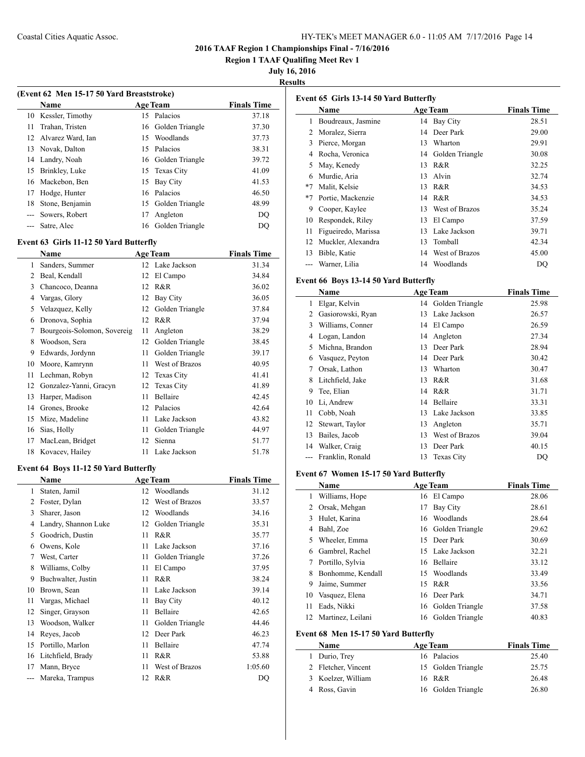**Region 1 TAAF Qualifing Meet Rev 1**

**July 16, 2016**

**Results**

| (Event 62 Men 15-17 50 Yard Breaststroke) |                      |    |                    |                    |
|-------------------------------------------|----------------------|----|--------------------|--------------------|
|                                           | <b>Name</b>          |    | <b>Age Team</b>    | <b>Finals Time</b> |
|                                           | 10 Kessler, Timothy  |    | 15 Palacios        | 37.18              |
| 11                                        | Trahan, Tristen      |    | 16 Golden Triangle | 37.30              |
|                                           | 12 Alvarez Ward, Ian | 15 | Woodlands          | 37.73              |
|                                           | 13 Novak, Dalton     |    | 15 Palacios        | 38.31              |
|                                           | 14 Landry, Noah      |    | 16 Golden Triangle | 39.72              |
| 15                                        | Brinkley, Luke       |    | 15 Texas City      | 41.09              |
| 16                                        | Mackebon, Ben        | 15 | <b>Bay City</b>    | 41.53              |
| 17                                        | Hodge, Hunter        |    | 16 Palacios        | 46.50              |
| 18                                        | Stone, Benjamin      | 15 | Golden Triangle    | 48.99              |
|                                           | Sowers, Robert       | 17 | Angleton           | DO                 |
|                                           | Satre, Alec          |    | 16 Golden Triangle | DO                 |

#### **Event 63 Girls 11-12 50 Yard Butterfly**

|    | Name                        |    | <b>Age Team</b> | <b>Finals Time</b> |
|----|-----------------------------|----|-----------------|--------------------|
| 1  | Sanders, Summer             |    | 12 Lake Jackson | 31.34              |
| 2  | Beal, Kendall               | 12 | El Campo        | 34.84              |
| 3  | Chancoco, Deanna            | 12 | R&R             | 36.02              |
| 4  | Vargas, Glory               | 12 | <b>Bay City</b> | 36.05              |
| 5  | Velazquez, Kelly            | 12 | Golden Triangle | 37.84              |
| 6  | Dronova, Sophia             | 12 | R&R             | 37.94              |
| 7  | Bourgeois-Solomon, Sovereig | 11 | Angleton        | 38.29              |
| 8  | Woodson, Sera               | 12 | Golden Triangle | 38.45              |
| 9  | Edwards, Jordynn            | 11 | Golden Triangle | 39.17              |
| 10 | Moore, Kamrynn              | 11 | West of Brazos  | 40.95              |
| 11 | Lechman, Robyn              | 12 | Texas City      | 41.41              |
| 12 | Gonzalez-Yanni, Gracyn      | 12 | Texas City      | 41.89              |
| 13 | Harper, Madison             | 11 | Bellaire        | 42.45              |
| 14 | Grones, Brooke              | 12 | Palacios        | 42.64              |
| 15 | Mize, Madeline              | 11 | Lake Jackson    | 43.82              |
| 16 | Sias, Holly                 | 11 | Golden Triangle | 44.97              |
| 17 | MacLean, Bridget            | 12 | Sienna          | 51.77              |
| 18 | Kovacev, Hailey             | 11 | Lake Jackson    | 51.78              |

#### **Event 64 Boys 11-12 50 Yard Butterfly**

|    | Name                 |    | <b>Age Team</b> | <b>Finals Time</b> |
|----|----------------------|----|-----------------|--------------------|
| 1  | Staten, Jamil        | 12 | Woodlands       | 31.12              |
| 2  | Foster, Dylan        | 12 | West of Brazos  | 33.57              |
| 3  | Sharer, Jason        | 12 | Woodlands       | 34.16              |
| 4  | Landry, Shannon Luke | 12 | Golden Triangle | 35.31              |
| 5  | Goodrich, Dustin     | 11 | R&R             | 35.77              |
| 6  | Owens, Kole          | 11 | Lake Jackson    | 37.16              |
| 7  | West, Carter         | 11 | Golden Triangle | 37.26              |
| 8  | Williams, Colby      | 11 | El Campo        | 37.95              |
| 9  | Buchwalter, Justin   | 11 | R&R             | 38.24              |
| 10 | Brown, Sean          | 11 | Lake Jackson    | 39.14              |
| 11 | Vargas, Michael      | 11 | Bay City        | 40.12              |
| 12 | Singer, Grayson      | 11 | Bellaire        | 42.65              |
| 13 | Woodson, Walker      | 11 | Golden Triangle | 44.46              |
| 14 | Reyes, Jacob         | 12 | Deer Park       | 46.23              |
| 15 | Portillo, Marlon     | 11 | Bellaire        | 47.74              |
| 16 | Litchfield, Brady    | 11 | R&R             | 53.88              |
| 17 | Mann, Bryce          | 11 | West of Brazos  | 1:05.60            |
|    | Mareka, Trampus      | 12 | R&R             | DQ                 |

|      | Event 65 Girls 13-14 50 Yard Butterfly |    |                 |                    |  |  |
|------|----------------------------------------|----|-----------------|--------------------|--|--|
|      | Name                                   |    | <b>Age Team</b> | <b>Finals Time</b> |  |  |
| 1    | Boudreaux, Jasmine                     | 14 | Bay City        | 28.51              |  |  |
| 2    | Moralez, Sierra                        | 14 | Deer Park       | 29.00              |  |  |
| 3    | Pierce, Morgan                         | 13 | Wharton         | 29.91              |  |  |
| 4    | Rocha, Veronica                        | 14 | Golden Triangle | 30.08              |  |  |
| 5    | May, Kenedy                            | 13 | R&R             | 32.25              |  |  |
| 6    | Murdie, Aria                           | 13 | Alvin           | 32.74              |  |  |
| $*7$ | Malit, Kelsie                          | 13 | R&R             | 34.53              |  |  |
| $*7$ | Portie, Mackenzie                      | 14 | R&R             | 34.53              |  |  |
| 9    | Cooper, Kaylee                         | 13 | West of Brazos  | 35.24              |  |  |
| 10   | Respondek, Riley                       | 13 | El Campo        | 37.59              |  |  |
| 11   | Figueiredo, Marissa                    | 13 | Lake Jackson    | 39.71              |  |  |
| 12   | Muckler, Alexandra                     | 13 | Tomball         | 42.34              |  |  |
| 13   | Bible, Katie                           | 14 | West of Brazos  | 45.00              |  |  |
|      | Warner, Lilia                          | 14 | Woodlands       | DO                 |  |  |

## **Event 66 Boys 13-14 50 Yard Butterfly**

|    | Name              |    | <b>Age Team</b>    | <b>Finals Time</b> |
|----|-------------------|----|--------------------|--------------------|
| 1  | Elgar, Kelvin     |    | 14 Golden Triangle | 25.98              |
| 2  | Gasiorowski, Ryan | 13 | Lake Jackson       | 26.57              |
| 3  | Williams, Conner  | 14 | El Campo           | 26.59              |
| 4  | Logan, Landon     | 14 | Angleton           | 27.34              |
| 5  | Michna, Brandon   | 13 | Deer Park          | 28.94              |
| 6  | Vasquez, Peyton   | 14 | Deer Park          | 30.42              |
| 7  | Orsak, Lathon     | 13 | Wharton            | 30.47              |
| 8  | Litchfield, Jake  | 13 | R&R                | 31.68              |
| 9  | Tee, Elian        | 14 | R&R                | 31.71              |
| 10 | Li, Andrew        | 14 | Bellaire           | 33.31              |
| 11 | Cobb, Noah        | 13 | Lake Jackson       | 33.85              |
| 12 | Stewart, Taylor   | 13 | Angleton           | 35.71              |
| 13 | Bailes, Jacob     | 13 | West of Brazos     | 39.04              |
| 14 | Walker, Craig     | 13 | Deer Park          | 40.15              |
|    | Franklin, Ronald  | 13 | <b>Texas City</b>  | DO                 |

## **Event 67 Women 15-17 50 Yard Butterfly**

 $\overline{\phantom{a}}$ 

 $\frac{1}{2}$ 

|    | <b>Age Team</b><br>Name |    |                    | <b>Finals Time</b> |  |  |  |
|----|-------------------------|----|--------------------|--------------------|--|--|--|
| 1  | Williams, Hope          |    | 16 El Campo        | 28.06              |  |  |  |
| 2  | Orsak, Mehgan           | 17 | Bay City           | 28.61              |  |  |  |
| 3  | Hulet, Karina           | 16 | Woodlands          | 28.64              |  |  |  |
| 4  | Bahl, Zoe               |    | 16 Golden Triangle | 29.62              |  |  |  |
| 5. | Wheeler, Emma           | 15 | Deer Park          | 30.69              |  |  |  |
| 6  | Gambrel, Rachel         |    | 15 Lake Jackson    | 32.21              |  |  |  |
| 7  | Portillo, Sylvia        |    | 16 Bellaire        | 33.12              |  |  |  |
| 8  | Bonhomme, Kendall       |    | 15 Woodlands       | 33.49              |  |  |  |
| 9  | Jaime, Summer           | 15 | R&R                | 33.56              |  |  |  |
| 10 | Vasquez, Elena          |    | 16 Deer Park       | 34.71              |  |  |  |
| 11 | Eads, Nikki             |    | 16 Golden Triangle | 37.58              |  |  |  |
| 12 | Martinez, Leilani       |    | 16 Golden Triangle | 40.83              |  |  |  |
|    |                         |    |                    |                    |  |  |  |

# **Event 68 Men 15-17 50 Yard Butterfly**

| Name                | <b>Age Team</b>    | <b>Finals Time</b> |
|---------------------|--------------------|--------------------|
| 1 Durio, Trey       | 16 Palacios        | 25.40              |
| 2 Fletcher, Vincent | 15 Golden Triangle | 25.75              |
| 3 Koelzer, William  | 16 R&R             | 26.48              |
| 4 Ross, Gavin       | 16 Golden Triangle | 26.80              |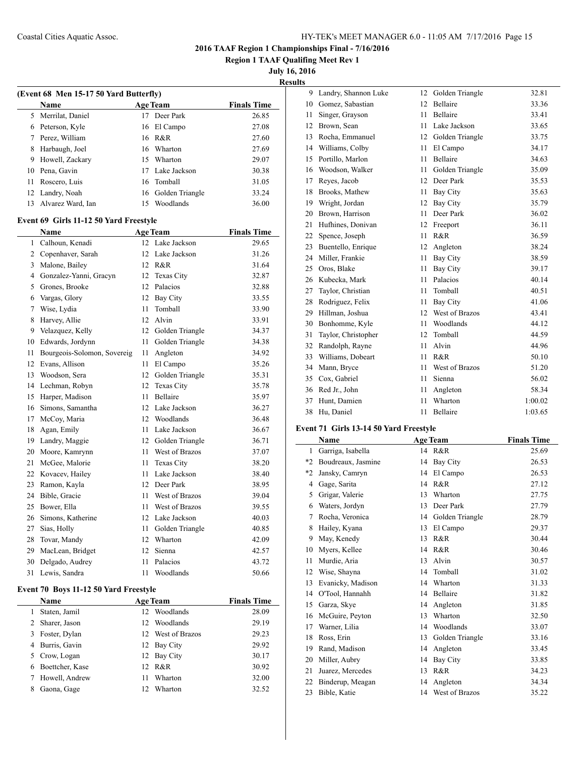**Region 1 TAAF Qualifing Meet Rev 1**

**July 16, 2016**

|--|

| (Event 68 Men 15-17 50 Yard Butterfly) |                                        |      |                    |                    |  |
|----------------------------------------|----------------------------------------|------|--------------------|--------------------|--|
|                                        | Name                                   |      | <b>Age Team</b>    | <b>Finals Time</b> |  |
| 5                                      | Merrilat, Daniel                       |      | 17 Deer Park       | 26.85              |  |
|                                        | 6 Peterson, Kyle                       |      | 16 El Campo        | 27.08              |  |
|                                        | 7 Perez, William                       |      | 16 R&R             | 27.60              |  |
| 8                                      | Harbaugh, Joel                         |      | 16 Wharton         | 27.69              |  |
|                                        | 9 Howell, Zackary                      |      | 15 Wharton         | 29.07              |  |
|                                        | 10 Pena, Gavin                         |      | 17 Lake Jackson    | 30.38              |  |
| 11                                     | Roscero, Luis                          |      | 16 Tomball         | 31.05              |  |
|                                        | 12 Landry, Noah                        |      | 16 Golden Triangle | 33.24              |  |
| 13                                     | Alvarez Ward, Ian                      |      | 15 Woodlands       | 36.00              |  |
|                                        | Event 69 Girls 11-12 50 Yard Freestyle |      |                    |                    |  |
|                                        | Name                                   |      | <b>Age Team</b>    | <b>Finals Time</b> |  |
| 1                                      | Calhoun, Kenadi                        |      | 12 Lake Jackson    | 29.65              |  |
|                                        | 2 Copenhaver, Sarah                    |      | 12 Lake Jackson    | 31.26              |  |
|                                        | 3 Malone, Bailey                       |      | 12 R&R             | 31.64              |  |
|                                        | 4 Gonzalez-Yanni, Gracyn               |      | 12 Texas City      | 32.87              |  |
|                                        | 5 Grones, Brooke                       |      | 12 Palacios        | 32.88              |  |
|                                        | 6 Vargas, Glory                        |      | 12 Bay City        | 33.55              |  |
|                                        | 7 Wise, Lydia                          | 11   | Tomball            | 33.90              |  |
| 8                                      | Harvey, Allie                          |      | 12 Alvin           | 33.91              |  |
|                                        | 9 Velazquez, Kelly                     |      | 12 Golden Triangle | 34.37              |  |
|                                        | 10 Edwards, Jordynn                    | 11   | Golden Triangle    | 34.38              |  |
| 11                                     | Bourgeois-Solomon, Sovereig            | 11   | Angleton           | 34.92              |  |
|                                        | 12 Evans, Allison                      |      | 11 El Campo        | 35.26              |  |
|                                        | 13 Woodson, Sera                       |      | 12 Golden Triangle | 35.31              |  |
|                                        | 14 Lechman, Robyn                      |      | 12 Texas City      | 35.78              |  |
|                                        | 15 Harper, Madison                     | 11   | Bellaire           | 35.97              |  |
|                                        | 16 Simons, Samantha                    |      | 12 Lake Jackson    | 36.27              |  |
|                                        | 17 McCoy, Maria                        |      | 12 Woodlands       | 36.48              |  |
| 18                                     | Agan, Emily                            |      | 11 Lake Jackson    | 36.67              |  |
|                                        | 19 Landry, Maggie                      |      | 12 Golden Triangle | 36.71              |  |
|                                        | 20 Moore, Kamrynn                      | 11   | West of Brazos     | 37.07              |  |
|                                        | 21 McGee, Malorie                      | 11   | Texas City         | 38.20              |  |
|                                        | 22 Kovacev, Hailey                     |      | 11 Lake Jackson    | 38.40              |  |
|                                        | 23 Ramon, Kayla                        |      | 12 Deer Park       | 38.95              |  |
|                                        | 24 Bible, Gracie                       | 11   | West of Brazos     | 39.04              |  |
|                                        | 25 Bower, Ella                         | 11   | West of Brazos     | 39.55              |  |
|                                        | 26 Simons, Katherine                   |      | 12 Lake Jackson    | 40.03              |  |
|                                        | 27 Sias, Holly                         | 11 - | Golden Triangle    | 40.85              |  |
| 28                                     | Tovar, Mandy                           |      | 12 Wharton         | 42.09              |  |
| 29                                     | MacLean, Bridget                       | 12   | Sienna             | 42.57              |  |
| 30                                     | Delgado, Audrey                        | 11   | Palacios           | 43.72              |  |
| 31                                     | Lewis, Sandra                          | 11   | Woodlands          | 50.66              |  |

# **Event 70 Boys 11-12 50 Yard Freestyle**

|   | Name            |     | <b>Age Team</b>   | <b>Finals Time</b> |
|---|-----------------|-----|-------------------|--------------------|
|   | Staten, Jamil   | 12. | Woodlands         | 28.09              |
|   | 2 Sharer, Jason | 12. | Woodlands         | 29.19              |
|   | 3 Foster, Dylan |     | 12 West of Brazos | 29.23              |
|   | 4 Burris, Gavin |     | 12 Bay City       | 29.92              |
|   | 5 Crow, Logan   |     | 12 Bay City       | 30.17              |
| 6 | Boettcher, Kase |     | 12 R&R            | 30.92              |
|   | Howell, Andrew  | 11  | Wharton           | 32.00              |
| 8 | Gaona, Gage     | 12. | Wharton           | 32.52              |
|   |                 |     |                   |                    |

| 9  | Landry, Shannon Luke | 12 | Golden Triangle | 32.81   |
|----|----------------------|----|-----------------|---------|
| 10 | Gomez, Sabastian     | 12 | Bellaire        | 33.36   |
| 11 | Singer, Grayson      | 11 | Bellaire        | 33.41   |
| 12 | Brown, Sean          | 11 | Lake Jackson    | 33.65   |
| 13 | Rocha, Emmanuel      | 12 | Golden Triangle | 33.75   |
| 14 | Williams, Colby      | 11 | El Campo        | 34.17   |
| 15 | Portillo, Marlon     | 11 | Bellaire        | 34.63   |
| 16 | Woodson, Walker      | 11 | Golden Triangle | 35.09   |
| 17 | Reves, Jacob         | 12 | Deer Park       | 35.53   |
| 18 | Brooks, Mathew       | 11 | <b>Bay City</b> | 35.63   |
| 19 | Wright, Jordan       | 12 | <b>Bay City</b> | 35.79   |
| 20 | Brown, Harrison      | 11 | Deer Park       | 36.02   |
| 21 | Hufhines, Donivan    | 12 | Freeport        | 36.11   |
| 22 | Spence, Joseph       | 11 | R&R             | 36.59   |
| 23 | Buentello, Enrique   | 12 | Angleton        | 38.24   |
| 24 | Miller, Frankie      | 11 | <b>Bay City</b> | 38.59   |
| 25 | Oros, Blake          | 11 | <b>Bay City</b> | 39.17   |
| 26 | Kubecka, Mark        | 11 | Palacios        | 40.14   |
| 27 | Taylor, Christian    | 11 | Tomball         | 40.51   |
| 28 | Rodriguez, Felix     | 11 | <b>Bay City</b> | 41.06   |
| 29 | Hillman, Joshua      | 12 | West of Brazos  | 43.41   |
| 30 | Bonhomme, Kyle       | 11 | Woodlands       | 44.12   |
| 31 | Taylor, Christopher  | 12 | Tomball         | 44.59   |
| 32 | Randolph, Rayne      | 11 | Alvin           | 44.96   |
| 33 | Williams, Dobeart    | 11 | R&R             | 50.10   |
| 34 | Mann, Bryce          | 11 | West of Brazos  | 51.20   |
| 35 | Cox, Gabriel         | 11 | Sienna          | 56.02   |
| 36 | Red Jr., John        | 11 | Angleton        | 58.34   |
| 37 | Hunt, Damien         | 11 | Wharton         | 1:00.02 |
| 38 | Hu, Daniel           | 11 | Bellaire        | 1:03.65 |

## **Event 71 Girls 13-14 50 Yard Freestyle**

|      | Name               |    | <b>Age Team</b> | <b>Finals Time</b> |
|------|--------------------|----|-----------------|--------------------|
| 1    | Garriga, Isabella  | 14 | R&R             | 25.69              |
| $*2$ | Boudreaux, Jasmine | 14 | <b>Bay City</b> | 26.53              |
| $*2$ | Jansky, Camryn     | 14 | El Campo        | 26.53              |
| 4    | Gage, Sarita       | 14 | R&R             | 27.12              |
| 5    | Grigar, Valerie    | 13 | Wharton         | 27.75              |
| 6    | Waters, Jordyn     | 13 | Deer Park       | 27.79              |
| 7    | Rocha, Veronica    | 14 | Golden Triangle | 28.79              |
| 8    | Hailey, Kyana      | 13 | El Campo        | 29.37              |
| 9    | May, Kenedy        | 13 | R&R             | 30.44              |
| 10   | Myers, Kellee      | 14 | R&R             | 30.46              |
| 11   | Murdie, Aria       | 13 | Alvin           | 30.57              |
| 12   | Wise, Shayna       | 14 | Tomball         | 31.02              |
| 13   | Evanicky, Madison  | 14 | Wharton         | 31.33              |
| 14   | O'Tool, Hannahh    | 14 | Bellaire        | 31.82              |
| 15   | Garza, Skye        | 14 | Angleton        | 31.85              |
| 16   | McGuire, Peyton    | 13 | Wharton         | 32.50              |
| 17   | Warner, Lilia      | 14 | Woodlands       | 33.07              |
| 18   | Ross, Erin         | 13 | Golden Triangle | 33.16              |
| 19   | Rand, Madison      | 14 | Angleton        | 33.45              |
| 20   | Miller, Aubry      | 14 | Bay City        | 33.85              |
| 21   | Juarez, Mercedes   | 13 | R&R             | 34.23              |
| 22   | Binderup, Meagan   | 14 | Angleton        | 34.34              |
| 23   | Bible, Katie       | 14 | West of Brazos  | 35.22              |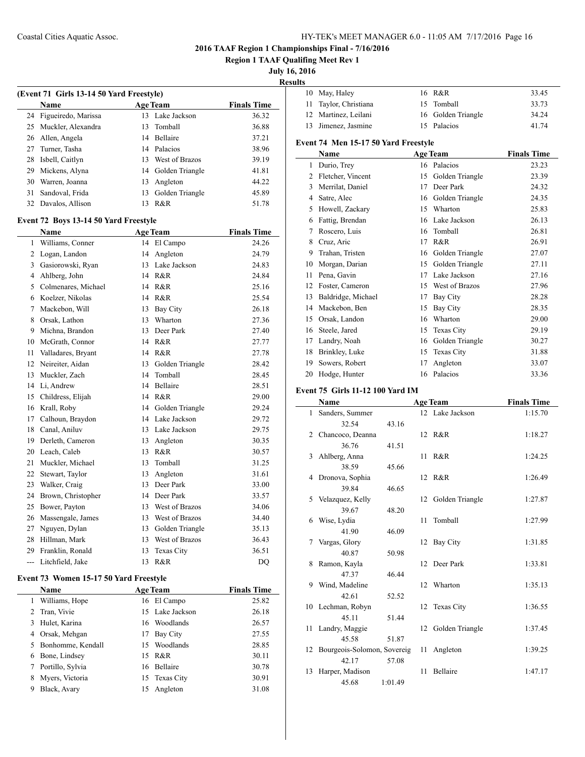**Region 1 TAAF Qualifing Meet Rev 1**

**July 16, 2016**

**Results**

|                | (Event 71 Girls 13-14 50 Yard Freestyle)<br><b>Name</b> |    |                                 | <b>Finals Time</b> |
|----------------|---------------------------------------------------------|----|---------------------------------|--------------------|
| 24             | Figueiredo, Marissa                                     | 13 | <b>Age Team</b><br>Lake Jackson | 36.32              |
| 25             | Muckler, Alexandra                                      | 13 | Tomball                         | 36.88              |
|                | 26 Allen, Angela                                        | 14 | Bellaire                        | 37.21              |
| 27             | Turner, Tasha                                           |    | 14 Palacios                     | 38.96              |
| 28             | Isbell, Caitlyn                                         |    | 13 West of Brazos               | 39.19              |
| 29             | Mickens, Alyna                                          |    | 14 Golden Triangle              | 41.81              |
| 30             | Warren, Joanna                                          | 13 | Angleton                        | 44.22              |
| 31             | Sandoval, Frida                                         | 13 | Golden Triangle                 | 45.89              |
| 32             | Davalos, Allison                                        | 13 | R&R                             | 51.78              |
|                |                                                         |    |                                 |                    |
|                | Event 72 Boys 13-14 50 Yard Freestyle                   |    |                                 |                    |
|                | Name                                                    |    | <b>Age Team</b>                 | <b>Finals Time</b> |
| $\mathbf{1}$   | Williams, Conner                                        |    | 14 El Campo                     | 24.26              |
| $\overline{2}$ | Logan, Landon                                           | 14 | Angleton                        | 24.79              |
| 3              | Gasiorowski, Ryan                                       | 13 | Lake Jackson                    | 24.83              |
| $\overline{4}$ | Ahlberg, John                                           |    | 14 R&R                          | 24.84              |
|                | 5 Colmenares, Michael                                   |    | 14 R&R                          | 25.16              |
| 6              | Koelzer, Nikolas                                        |    | 14 R&R                          | 25.54              |
| $\tau$         | Mackebon, Will                                          |    | 13 Bay City                     | 26.18              |
| 8              | Orsak, Lathon                                           | 13 | Wharton                         | 27.36              |
| 9              | Michna, Brandon                                         | 13 | Deer Park                       | 27.40              |
| 10             | McGrath, Connor                                         |    | 14 R&R                          | 27.77              |
| 11             | Valladares, Bryant                                      |    | 14 R&R                          | 27.78              |
| 12             | Neireiter, Aidan                                        | 13 | Golden Triangle                 | 28.42              |
| 13             | Muckler, Zach                                           | 14 | Tomball                         | 28.45              |
| 14             | Li, Andrew                                              | 14 | Bellaire                        | 28.51              |
| 15             | Childress, Elijah                                       |    | 14 R&R                          | 29.00              |
| 16             | Krall, Roby                                             |    | 14 Golden Triangle              | 29.24              |
| 17             | Calhoun, Braydon                                        | 14 | Lake Jackson                    | 29.72              |
| 18             | Canal, Aniluv                                           | 13 | Lake Jackson                    | 29.75              |
| 19             | Derleth, Cameron                                        | 13 | Angleton                        | 30.35              |
| 20             | Leach, Caleb                                            | 13 | R&R                             | 30.57              |
| 21             | Muckler, Michael                                        | 13 | Tomball                         | 31.25              |
| 22             | Stewart, Taylor                                         | 13 | Angleton                        | 31.61              |
| 23             | Walker, Craig                                           | 13 | Deer Park                       | 33.00              |
| 24             | Brown, Christopher                                      |    | 14 Deer Park                    | 33.57              |
| 25             | Bower, Payton                                           | 13 | West of Brazos                  | 34.06              |
| 26             | Massengale, James                                       | 13 | West of Brazos                  | 34.40              |
| 27             | Nguyen, Dylan                                           |    | 13 Golden Triangle              | 35.13              |
| 28             | Hillman, Mark                                           | 13 | West of Brazos                  | 36.43              |
| 29             | Franklin, Ronald                                        | 13 | Texas City                      | 36.51              |
| ---            | Litchfield, Jake                                        | 13 | R&R                             | D <sub>O</sub>     |

## **Event 73 Women 15-17 50 Yard Freestyle**

 $\overline{\phantom{0}}$ 

| <b>Finals Time</b> |
|--------------------|
| 25.82              |
| 26.18              |
| 26.57              |
| 27.55              |
| 28.85              |
| 30.11              |
| 30.78              |
| 30.91              |
| 31.08              |
|                    |

| 10 May, Haley         | 16 R&R             | 33.45 |
|-----------------------|--------------------|-------|
| 11 Taylor, Christiana | 15 Tomball         | 33.73 |
| 12 Martinez, Leilani  | 16 Golden Triangle | 34.24 |
| 13 Jimenez, Jasmine   | 15 Palacios        | 41.74 |
|                       |                    |       |

# **Event 74 Men 15-17 50 Yard Freestyle**

|    | Name               |    | <b>Age Team</b>   | <b>Finals Time</b> |
|----|--------------------|----|-------------------|--------------------|
| 1  | Durio, Trey        |    | 16 Palacios       | 23.23              |
| 2  | Fletcher, Vincent  | 15 | Golden Triangle   | 23.39              |
| 3  | Merrilat, Daniel   | 17 | Deer Park         | 24.32              |
| 4  | Satre, Alec        | 16 | Golden Triangle   | 24.35              |
| 5  | Howell, Zackary    | 15 | Wharton           | 25.83              |
| 6  | Fattig, Brendan    | 16 | Lake Jackson      | 26.13              |
| 7  | Roscero, Luis      | 16 | Tomball           | 26.81              |
| 8  | Cruz, Aric         | 17 | R&R               | 26.91              |
| 9  | Trahan, Tristen    | 16 | Golden Triangle   | 27.07              |
| 10 | Morgan, Darian     | 15 | Golden Triangle   | 27.11              |
| 11 | Pena, Gavin        | 17 | Lake Jackson      | 27.16              |
| 12 | Foster, Cameron    | 15 | West of Brazos    | 27.96              |
| 13 | Baldridge, Michael | 17 | Bay City          | 28.28              |
| 14 | Mackebon, Ben      | 15 | <b>Bay City</b>   | 28.35              |
| 15 | Orsak, Landon      | 16 | Wharton           | 29.00              |
| 16 | Steele, Jared      | 15 | Texas City        | 29.19              |
| 17 | Landry, Noah       | 16 | Golden Triangle   | 30.27              |
| 18 | Brinkley, Luke     | 15 | <b>Texas City</b> | 31.88              |
| 19 | Sowers, Robert     | 17 | Angleton          | 33.07              |
| 20 | Hodge, Hunter      |    | 16 Palacios       | 33.36              |

# **Event 75 Girls 11-12 100 Yard IM**

|    | Name                           |         |    | <b>Age Team</b>    | <b>Finals Time</b> |
|----|--------------------------------|---------|----|--------------------|--------------------|
|    | 1 Sanders, Summer              |         |    | 12 Lake Jackson    | 1:15.70            |
|    | 32.54                          | 43.16   |    |                    |                    |
|    | 2 Chancoco, Deanna             |         |    | 12 R&R             | 1:18.27            |
|    | 36.76                          | 41.51   |    |                    |                    |
|    | 3 Ahlberg, Anna                |         |    | 11 R&R             | 1:24.25            |
|    | 38.59                          | 45.66   |    |                    |                    |
|    | 4 Dronova, Sophia              |         |    | 12 R&R             | 1:26.49            |
|    | 39.84                          | 46.65   |    |                    |                    |
|    | 5 Velazquez, Kelly             |         |    | 12 Golden Triangle | 1:27.87            |
|    | 39.67                          | 48.20   |    |                    |                    |
| 6  | Wise, Lydia                    |         | 11 | Tomball            | 1:27.99            |
|    | 41.90                          | 46.09   |    |                    |                    |
|    | Vargas, Glory                  |         |    | 12 Bay City        | 1:31.85            |
|    | 40.87                          | 50.98   |    |                    |                    |
| 8  | Ramon, Kayla                   |         |    | 12 Deer Park       | 1:33.81            |
|    | 47.37                          | 46.44   |    |                    |                    |
| 9  | Wind, Madeline                 |         |    | 12 Wharton         | 1:35.13            |
|    | 42.61                          | 52.52   |    |                    |                    |
|    | 10 Lechman, Robyn              |         |    | 12 Texas City      | 1:36.55            |
|    | 45.11                          | 51.44   |    |                    |                    |
|    | 11 Landry, Maggie              |         | 12 | Golden Triangle    | 1:37.45            |
|    | 45.58                          | 51.87   |    |                    |                    |
|    | 12 Bourgeois-Solomon, Sovereig |         |    | 11 Angleton        | 1:39.25            |
|    | 42.17                          | 57.08   |    |                    |                    |
| 13 | Harper, Madison                |         | 11 | Bellaire           | 1:47.17            |
|    | 45.68                          | 1:01.49 |    |                    |                    |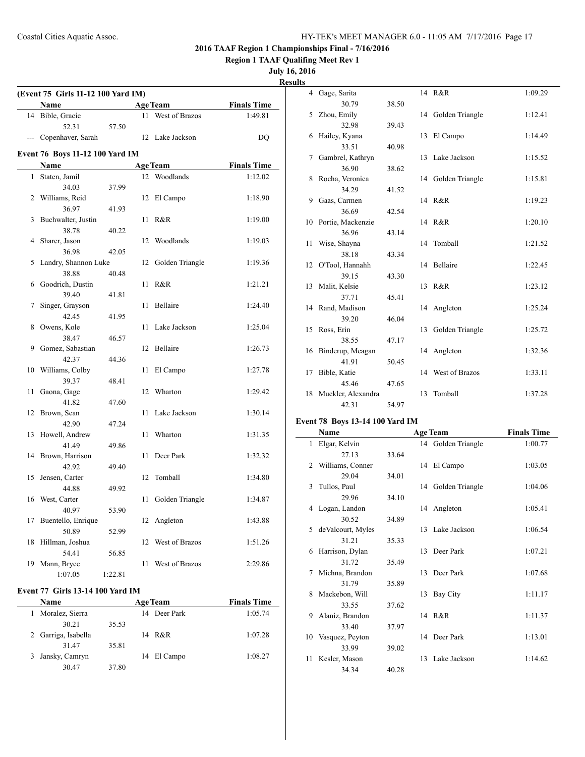**Region 1 TAAF Qualifing Meet Rev 1**

**July 16, 2016**

**Results**

|    | (Event 75 Girls 11-12 100 Yard IM)<br><b>Name</b> |         |    | <b>Age Team</b> | <b>Finals Time</b> |
|----|---------------------------------------------------|---------|----|-----------------|--------------------|
| 14 | Bible, Gracie                                     |         | 11 | West of Brazos  | 1:49.81            |
|    | 52.31                                             | 57.50   |    |                 |                    |
|    | --- Copenhaver, Sarah                             |         |    | 12 Lake Jackson | D <sub>O</sub>     |
|    |                                                   |         |    |                 |                    |
|    | Event 76 Boys 11-12 100 Yard IM<br>Name           |         |    | <b>Age Team</b> | <b>Finals Time</b> |
| 1  | Staten, Jamil                                     |         |    | 12 Woodlands    | 1:12.02            |
|    | 34.03                                             | 37.99   |    |                 |                    |
|    | 2 Williams, Reid                                  |         | 12 | El Campo        | 1:18.90            |
|    | 36.97                                             | 41.93   |    |                 |                    |
| 3  | Buchwalter, Justin                                |         | 11 | R&R             | 1:19.00            |
|    | 38.78                                             | 40.22   |    |                 |                    |
| 4  | Sharer, Jason                                     |         | 12 | Woodlands       | 1:19.03            |
|    | 36.98                                             | 42.05   |    |                 |                    |
| 5  | Landry, Shannon Luke                              |         | 12 | Golden Triangle | 1:19.36            |
|    | 38.88                                             | 40.48   |    |                 |                    |
| 6  | Goodrich, Dustin                                  |         | 11 | R&R             | 1:21.21            |
|    | 39.40                                             | 41.81   |    |                 |                    |
| 7  | Singer, Grayson                                   |         | 11 | Bellaire        | 1:24.40            |
|    | 42.45                                             | 41.95   |    |                 |                    |
| 8  | Owens, Kole                                       |         | 11 | Lake Jackson    | 1:25.04            |
|    | 38.47                                             | 46.57   |    |                 |                    |
| 9  | Gomez, Sabastian                                  |         |    | 12 Bellaire     | 1:26.73            |
|    | 42.37                                             | 44.36   |    |                 |                    |
| 10 | Williams, Colby                                   |         | 11 | El Campo        | 1:27.78            |
|    | 39.37                                             | 48.41   |    |                 |                    |
| 11 | Gaona, Gage                                       |         | 12 | Wharton         | 1:29.42            |
|    | 41.82                                             | 47.60   |    |                 |                    |
| 12 | Brown, Sean                                       |         | 11 | Lake Jackson    | 1:30.14            |
|    | 42.90                                             | 47.24   |    |                 |                    |
| 13 | Howell, Andrew                                    |         | 11 | Wharton         | 1:31.35            |
|    | 41.49                                             | 49.86   |    |                 |                    |
| 14 | Brown, Harrison                                   |         | 11 | Deer Park       | 1:32.32            |
|    | 42.92                                             | 49.40   |    |                 |                    |
| 15 | Jensen, Carter                                    |         | 12 | Tomball         | 1:34.80            |
|    | 44.88                                             | 49.92   |    |                 |                    |
| 16 | West, Carter                                      |         | 11 | Golden Triangle | 1:34.87            |
|    | 40.97                                             | 53.90   |    |                 |                    |
| 17 | Buentello, Enrique                                |         | 12 | Angleton        | 1:43.88            |
|    | 50.89                                             | 52.99   |    |                 |                    |
| 18 | Hillman, Joshua                                   |         | 12 | West of Brazos  | 1:51.26            |
|    | 54.41                                             | 56.85   |    |                 |                    |
| 19 | Mann, Bryce                                       |         | 11 | West of Brazos  | 2:29.86            |
|    | 1:07.05                                           | 1:22.81 |    |                 |                    |

#### **Event 77 Girls 13-14 100 Yard IM**

|              | <b>Name</b>         |       | <b>Age Team</b> | <b>Finals Time</b> |  |
|--------------|---------------------|-------|-----------------|--------------------|--|
| $\mathbf{1}$ | Moralez, Sierra     |       | 14 Deer Park    | 1:05.74            |  |
|              | 30.21               | 35.53 |                 |                    |  |
|              | 2 Garriga, Isabella |       | 14 R&R          | 1:07.28            |  |
|              | 31.47               | 35.81 |                 |                    |  |
|              | 3 Jansky, Camryn    |       | 14 El Campo     | 1:08.27            |  |
|              | 30.47               | 37.80 |                 |                    |  |

| s  |                    |       |    |                    |         |
|----|--------------------|-------|----|--------------------|---------|
|    | 4 Gage, Sarita     |       |    | 14 R&R             | 1:09.29 |
|    | 30.79              | 38.50 |    |                    |         |
| 5  | Zhou, Emily        |       |    | 14 Golden Triangle | 1:12.41 |
|    | 32.98              | 39.43 |    |                    |         |
| 6  | Hailey, Kyana      |       | 13 | El Campo           | 1:14.49 |
|    | 33.51              | 40.98 |    |                    |         |
| 7  | Gambrel, Kathryn   |       |    | 13 Lake Jackson    | 1:15.52 |
|    | 36.90              | 38.62 |    |                    |         |
| 8  | Rocha, Veronica    |       | 14 | Golden Triangle    | 1:15.81 |
|    | 34.29              | 41.52 |    |                    |         |
| 9  | Gaas, Carmen       |       |    | 14 R&R             | 1:19.23 |
|    | 36.69              | 42.54 |    |                    |         |
| 10 | Portie, Mackenzie  |       |    | 14 R&R             | 1:20.10 |
|    | 36.96              | 43.14 |    |                    |         |
| 11 | Wise, Shayna       |       | 14 | Tomball            | 1:21.52 |
|    | 38.18              | 43.34 |    |                    |         |
|    | 12 O'Tool, Hannahh |       |    | 14 Bellaire        | 1:22.45 |
|    | 39.15              | 43.30 |    |                    |         |
| 13 | Malit, Kelsie      |       |    | 13 R&R             | 1:23.12 |
|    | 37.71              | 45.41 |    |                    |         |
| 14 | Rand, Madison      |       |    | 14 Angleton        | 1:25.24 |
|    | 39.20              | 46.04 |    |                    |         |
| 15 | Ross, Erin         |       | 13 | Golden Triangle    | 1:25.72 |
|    | 38.55              | 47.17 |    |                    |         |
| 16 | Binderup, Meagan   |       |    | 14 Angleton        | 1:32.36 |
|    | 41.91              | 50.45 |    |                    |         |
| 17 | Bible, Katie       |       | 14 | West of Brazos     | 1:33.11 |
|    | 45.46              | 47.65 |    |                    |         |
| 18 | Muckler, Alexandra |       | 13 | Tomball            | 1:37.28 |
|    | 42.31              | 54.97 |    |                    |         |

# **Event 78 Boys 13-14 100 Yard IM**

 $\frac{1}{2}$ 

|    | Name               |       |    | <b>Age Team</b>    | <b>Finals Time</b> |
|----|--------------------|-------|----|--------------------|--------------------|
| 1  | Elgar, Kelvin      |       |    | 14 Golden Triangle | 1:00.77            |
|    | 27.13              | 33.64 |    |                    |                    |
| 2  | Williams, Conner   |       |    | 14 El Campo        | 1:03.05            |
|    | 29.04              | 34.01 |    |                    |                    |
| 3  | Tullos, Paul       |       |    | 14 Golden Triangle | 1:04.06            |
|    | 29.96              | 34.10 |    |                    |                    |
| 4  | Logan, Landon      |       |    | 14 Angleton        | 1:05.41            |
|    | 30.52              | 34.89 |    |                    |                    |
| 5  | de Valcourt, Myles |       |    | 13 Lake Jackson    | 1:06.54            |
|    | 31.21              | 35.33 |    |                    |                    |
| 6  | Harrison, Dylan    |       |    | 13 Deer Park       | 1:07.21            |
|    | 31.72              | 35.49 |    |                    |                    |
| 7  | Michna, Brandon    |       | 13 | Deer Park          | 1:07.68            |
|    | 31.79              | 35.89 |    |                    |                    |
| 8  | Mackebon, Will     |       |    | 13 Bay City        | 1:11.17            |
|    | 33.55              | 37.62 |    |                    |                    |
| 9  | Alaniz, Brandon    |       |    | 14 R&R             | 1:11.37            |
|    | 33.40              | 37.97 |    |                    |                    |
| 10 | Vasquez, Peyton    |       |    | 14 Deer Park       | 1:13.01            |
|    | 33.99              | 39.02 |    |                    |                    |
| 11 | Kesler, Mason      |       | 13 | Lake Jackson       | 1:14.62            |
|    | 34.34              | 40.28 |    |                    |                    |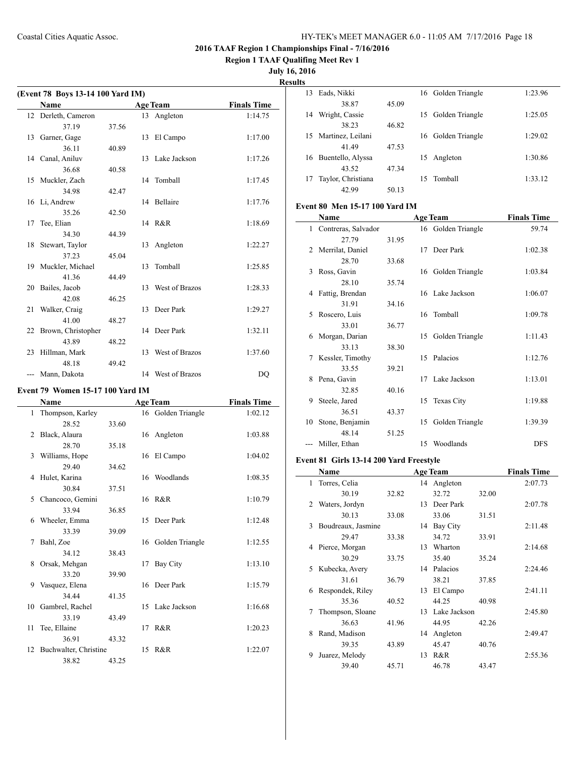**Region 1 TAAF Qualifing Meet Rev 1**

**July 16, 2016**

 $\overline{a}$ 

**Results**

| (Event 78 Boys 13-14 100 Yard IM) |                       |       |    |                   |                    |  |  |  |
|-----------------------------------|-----------------------|-------|----|-------------------|--------------------|--|--|--|
|                                   | <b>Name</b>           |       |    | <b>Age Team</b>   | <b>Finals Time</b> |  |  |  |
|                                   | 12 Derleth, Cameron   |       |    | 13 Angleton       | 1:14.75            |  |  |  |
|                                   | 37.19                 | 37.56 |    |                   |                    |  |  |  |
|                                   | 13 Garner, Gage       |       | 13 | El Campo          | 1:17.00            |  |  |  |
|                                   | 36.11                 | 40.89 |    |                   |                    |  |  |  |
|                                   | 14 Canal, Aniluv      |       |    | 13 Lake Jackson   | 1:17.26            |  |  |  |
|                                   | 36.68                 | 40.58 |    |                   |                    |  |  |  |
|                                   | 15 Muckler, Zach      |       |    | 14 Tomball        | 1:17.45            |  |  |  |
|                                   | 34.98                 | 42.47 |    |                   |                    |  |  |  |
|                                   | 16 Li, Andrew         |       |    | 14 Bellaire       | 1:17.76            |  |  |  |
|                                   | 35.26                 | 42.50 |    |                   |                    |  |  |  |
| 17                                | Tee, Elian            |       |    | 14 R&R            | 1:18.69            |  |  |  |
|                                   | 34.30                 | 44.39 |    |                   |                    |  |  |  |
| 18                                | Stewart, Taylor       |       | 13 | Angleton          | 1:22.27            |  |  |  |
|                                   | 37.23                 | 45.04 |    |                   |                    |  |  |  |
|                                   | 19 Muckler, Michael   |       | 13 | Tomball           | 1:25.85            |  |  |  |
|                                   | 41.36                 | 44.49 |    |                   |                    |  |  |  |
| 20                                | Bailes, Jacob         |       | 13 | West of Brazos    | 1:28.33            |  |  |  |
|                                   | 42.08                 | 46.25 |    |                   |                    |  |  |  |
| 21                                | Walker, Craig         |       | 13 | Deer Park         | 1:29.27            |  |  |  |
|                                   | 41.00                 | 48.27 |    |                   |                    |  |  |  |
|                                   | 22 Brown, Christopher |       |    | 14 Deer Park      | 1:32.11            |  |  |  |
|                                   | 43.89                 | 48.22 |    |                   |                    |  |  |  |
| 23                                | Hillman, Mark         |       | 13 | West of Brazos    | 1:37.60            |  |  |  |
|                                   | 48.18                 | 49.42 |    |                   |                    |  |  |  |
|                                   | Mann, Dakota          |       |    | 14 West of Brazos | DQ                 |  |  |  |

# **Event 79 Women 15-17 100 Yard IM**

|    | <b>Name</b>              | <b>Age Team</b> |  |                    | <b>Finals Time</b> |
|----|--------------------------|-----------------|--|--------------------|--------------------|
| 1  | Thompson, Karley         |                 |  | 16 Golden Triangle | 1:02.12            |
|    | 28.52                    | 33.60           |  |                    |                    |
| 2  | Black, Alaura            |                 |  | 16 Angleton        | 1:03.88            |
|    | 28.70                    | 35.18           |  |                    |                    |
|    | 3 Williams, Hope         |                 |  | 16 El Campo        | 1:04.02            |
|    | 29.40                    | 34.62           |  |                    |                    |
|    | 4 Hulet, Karina          |                 |  | 16 Woodlands       | 1:08.35            |
|    | 30.84                    | 37.51           |  |                    |                    |
| 5. | Chancoco, Gemini         |                 |  | 16 R&R             | 1:10.79            |
|    | 33.94                    | 36.85           |  |                    |                    |
| 6  | Wheeler, Emma            |                 |  | 15 Deer Park       | 1:12.48            |
|    | 33.39                    | 39.09           |  |                    |                    |
| 7  | Bahl, Zoe                |                 |  | 16 Golden Triangle | 1:12.55            |
|    | 34.12                    | 38.43           |  |                    |                    |
| 8  | Orsak, Mehgan            |                 |  | 17 Bay City        | 1:13.10            |
|    | 33.20                    | 39.90           |  |                    |                    |
| 9  | Vasquez, Elena           |                 |  | 16 Deer Park       | 1:15.79            |
|    | 34.44                    | 41.35           |  |                    |                    |
|    | 10 Gambrel, Rachel       |                 |  | 15 Lake Jackson    | 1:16.68            |
|    | 33.19                    | 43.49           |  |                    |                    |
| 11 | Tee, Ellaine             |                 |  | 17 R&R             | 1:20.23            |
|    | 36.91                    | 43.32           |  |                    |                    |
|    | 12 Buchwalter, Christine |                 |  | 15 R&R             | 1:22.07            |
|    | 38.82                    | 43.25           |  |                    |                    |

| 13 | Eads, Nikki        |       |    | 16 Golden Triangle | 1:23.96 |
|----|--------------------|-------|----|--------------------|---------|
|    | 38.87              | 45.09 |    |                    |         |
| 14 | Wright, Cassie     |       |    | 15 Golden Triangle | 1:25.05 |
|    | 38.23              | 46.82 |    |                    |         |
| 15 | Martinez, Leilani  |       |    | 16 Golden Triangle | 1:29.02 |
|    | 4149               | 47.53 |    |                    |         |
| 16 | Buentello, Alyssa  |       | 15 | Angleton           | 1:30.86 |
|    | 43.52              | 47.34 |    |                    |         |
| 17 | Taylor, Christiana |       | 15 | Tomball            | 1:33.12 |
|    | 42.99              | 50.13 |    |                    |         |

## **Event 80 Men 15-17 100 Yard IM**

|                               | Name                | <b>Age Team</b> |    |                    | <b>Finals Time</b> |
|-------------------------------|---------------------|-----------------|----|--------------------|--------------------|
| $\mathbf{1}$                  | Contreras, Salvador |                 |    | 16 Golden Triangle | 59.74              |
|                               | 27.79               | 31.95           |    |                    |                    |
| $\mathfrak{D}_{\mathfrak{p}}$ | Merrilat, Daniel    |                 |    | 17 Deer Park       | 1:02.38            |
|                               | 28.70               | 33.68           |    |                    |                    |
| 3                             | Ross, Gavin         |                 |    | 16 Golden Triangle | 1:03.84            |
|                               | 28.10               | 35.74           |    |                    |                    |
| 4                             | Fattig, Brendan     |                 |    | 16 Lake Jackson    | 1:06.07            |
|                               | 31.91               | 34.16           |    |                    |                    |
| 5                             | Roscero, Luis       |                 | 16 | Tomball            | 1:09.78            |
|                               | 33.01               | 36.77           |    |                    |                    |
| 6                             | Morgan, Darian      |                 | 15 | Golden Triangle    | 1:11.43            |
|                               | 33.13               | 38.30           |    |                    |                    |
| 7                             | Kessler, Timothy    |                 |    | 15 Palacios        | 1:12.76            |
|                               | 33.55               | 39.21           |    |                    |                    |
| 8                             | Pena, Gavin         |                 |    | 17 Lake Jackson    | 1:13.01            |
|                               | 32.85               | 40.16           |    |                    |                    |
| 9                             | Steele, Jared       |                 | 15 | Texas City         | 1:19.88            |
|                               | 36.51               | 43.37           |    |                    |                    |
| 10                            | Stone, Benjamin     |                 | 15 | Golden Triangle    | 1:39.39            |
|                               | 48.14               | 51.25           |    |                    |                    |
|                               | Miller, Ethan       |                 | 15 | Woodlands          | <b>DFS</b>         |

## **Event 81 Girls 13-14 200 Yard Freestyle**

|    | Name               |       |                 | <b>Age Team</b> |       | <b>Finals Time</b> |
|----|--------------------|-------|-----------------|-----------------|-------|--------------------|
| 1. | Torres, Celia      |       |                 | 14 Angleton     |       | 2:07.73            |
|    | 30.19              | 32.82 |                 | 32.72           | 32.00 |                    |
| 2  | Waters, Jordyn     |       | 13 <sup>7</sup> | Deer Park       |       | 2:07.78            |
|    | 30.13              | 33.08 |                 | 33.06           | 31.51 |                    |
| 3  | Boudreaux, Jasmine |       | 14              | Bay City        |       | 2:11.48            |
|    | 29.47              | 33.38 |                 | 34.72           | 33.91 |                    |
| 4  | Pierce, Morgan     |       | 13              | Wharton         |       | 2:14.68            |
|    | 30.29              | 33.75 |                 | 35.40           | 35.24 |                    |
| 5. | Kubecka, Avery     |       |                 | 14 Palacios     |       | 2:24.46            |
|    | 31.61              | 36.79 |                 | 38.21           | 37.85 |                    |
| 6  | Respondek, Riley   |       | 13              | El Campo        |       | 2:41.11            |
|    | 35.36              | 40.52 |                 | 44.25           | 40.98 |                    |
| 7  | Thompson, Sloane   |       |                 | 13 Lake Jackson |       | 2:45.80            |
|    | 36.63              | 41.96 |                 | 44.95           | 42.26 |                    |
| 8  | Rand, Madison      |       | 14              | Angleton        |       | 2:49.47            |
|    | 39.35              | 43.89 |                 | 45.47           | 40.76 |                    |
| 9  | Juarez, Melody     |       | 13              | R&R             |       | 2:55.36            |
|    | 39.40              | 45.71 |                 | 46.78           | 43.47 |                    |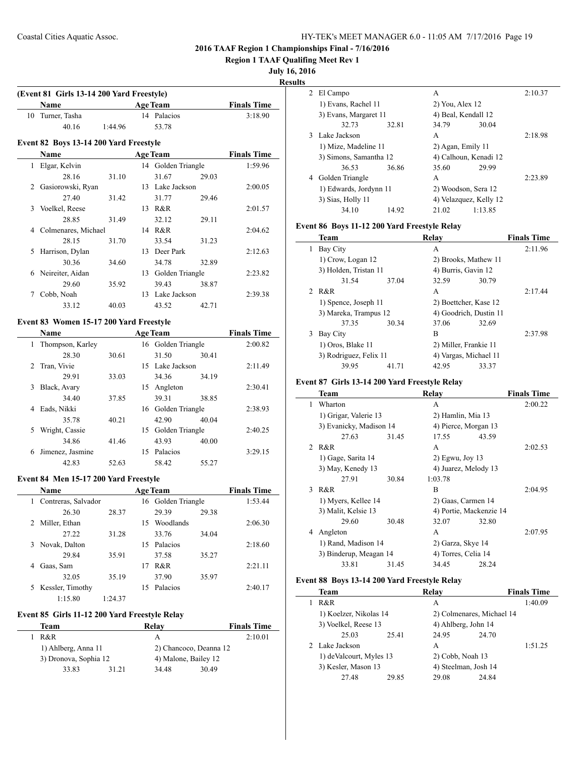**Region 1 TAAF Qualifing Meet Rev 1**

## **July 16, 2016**

**Results**

 $\sim$ 

 $\frac{1}{2}$ 

|    | (Event 81 Girls 13-14 200 Yard Freestyle) |         |    |                    |       |                    |
|----|-------------------------------------------|---------|----|--------------------|-------|--------------------|
|    | <b>Name</b>                               |         |    | <b>Age Team</b>    |       | <b>Finals Time</b> |
| 10 | Turner, Tasha                             |         |    | 14 Palacios        |       | 3:18.90            |
|    | 40.16                                     | 1:44.96 |    | 53.78              |       |                    |
|    | Event 82 Boys 13-14 200 Yard Freestyle    |         |    |                    |       |                    |
|    | <b>Name</b>                               |         |    | <b>Age Team</b>    |       | <b>Finals Time</b> |
| 1  | Elgar, Kelvin                             |         |    | 14 Golden Triangle |       | 1:59.96            |
|    | 28.16                                     | 31.10   |    | 31.67              | 29.03 |                    |
| 2  | Gasiorowski, Ryan                         |         |    | 13 Lake Jackson    |       | 2:00.05            |
|    | 27.40                                     | 31.42   |    | 31.77              | 29.46 |                    |
| 3  | Voelkel, Reese                            |         | 13 | R&R                |       | 2:01.57            |
|    | 28.85                                     | 31.49   |    | 32.12              | 29.11 |                    |
| 4  | Colmenares, Michael                       |         | 14 | R&R                |       | 2:04.62            |
|    | 28.15                                     | 31.70   |    | 33.54              | 31.23 |                    |
| 5  | Harrison, Dylan                           |         | 13 | Deer Park          |       | 2:12.63            |
|    | 30.36                                     | 34.60   |    | 34.78              | 32.89 |                    |
| 6  | Neireiter, Aidan                          |         | 13 | Golden Triangle    |       | 2:23.82            |
|    | 29.60                                     | 35.92   |    | 39.43              | 38.87 |                    |
| 7  | Cobb, Noah                                |         |    | 13 Lake Jackson    |       | 2:39.38            |

#### **Event 83 Women 15-17 200 Yard Freestyle**

|   | <b>Name</b>      |       |    | <b>Age Team</b>    |       | <b>Finals Time</b> |
|---|------------------|-------|----|--------------------|-------|--------------------|
| 1 | Thompson, Karley |       |    | 16 Golden Triangle |       | 2:00.82            |
|   | 28.30            | 30.61 |    | 31.50              | 30.41 |                    |
| 2 | Tran, Vivie      |       |    | 15 Lake Jackson    |       | 2:11.49            |
|   | 29.91            | 33.03 |    | 34.36              | 34.19 |                    |
| 3 | Black, Avary     |       | 15 | Angleton           |       | 2:30.41            |
|   | 34.40            | 37.85 |    | 39.31              | 38.85 |                    |
| 4 | Eads, Nikki      |       |    | 16 Golden Triangle |       | 2:38.93            |
|   | 35.78            | 40.21 |    | 42.90              | 40.04 |                    |
| 5 | Wright, Cassie   |       | 15 | Golden Triangle    |       | 2:40.25            |
|   | 34.86            | 41.46 |    | 43.93              | 40.00 |                    |
| 6 | Jimenez, Jasmine |       | 15 | Palacios           |       | 3:29.15            |
|   | 42.83            | 52.63 |    | 58.42              | 55.27 |                    |

33.12 40.03 43.52 42.71

## **Event 84 Men 15-17 200 Yard Freestyle**

| <b>Name</b>              |         |     | <b>Age Team</b>    |       | <b>Finals Time</b> |
|--------------------------|---------|-----|--------------------|-------|--------------------|
| Contreras, Salvador<br>1 |         |     | 16 Golden Triangle |       | 1:53.44            |
| 26.30                    | 28.37   |     | 29.39              | 29.38 |                    |
| Miller, Ethan<br>2       |         | 15. | Woodlands          |       | 2:06.30            |
| 27.22                    | 31.28   |     | 33.76              | 34.04 |                    |
| Novak, Dalton<br>3       |         | 15  | Palacios           |       | 2:18.60            |
| 29.84                    | 35.91   |     | 37.58              | 35.27 |                    |
| Gaas, Sam<br>4           |         | 17  | R&R                |       | 2:21.11            |
| 32.05                    | 35.19   |     | 37.90              | 35.97 |                    |
| Kessler, Timothy<br>5.   |         | 15  | Palacios           |       | 2:40.17            |
| 1:15.80                  | 1:24.37 |     |                    |       |                    |

## **Event 85 Girls 11-12 200 Yard Freestyle Relay**

| Team                  |       | Relav                  | <b>Finals Time</b> |
|-----------------------|-------|------------------------|--------------------|
| R&R                   |       | А                      | 2:10.01            |
| 1) Ahlberg, Anna 11   |       | 2) Chancoco, Deanna 12 |                    |
| 3) Dronova, Sophia 12 |       | 4) Malone, Bailey 12   |                    |
| 33.83                 | 31 21 | 34.48                  | 30.49              |

|   | 2 El Campo             |       | A                      |         | 2:10.37 |
|---|------------------------|-------|------------------------|---------|---------|
|   | 1) Evans, Rachel 11    |       | $2)$ You, Alex 12      |         |         |
|   | 3) Evans, Margaret 11  |       | 4) Beal, Kendall 12    |         |         |
|   | 32.73                  | 32.81 | 34.79                  | 30.04   |         |
|   | 3 Lake Jackson         |       | A                      |         | 2:18.98 |
|   | 1) Mize, Madeline 11   |       | 2) Agan, Emily 11      |         |         |
|   | 3) Simons, Samantha 12 |       | 4) Calhoun, Kenadi 12  |         |         |
|   | 36.53                  | 36.86 | 35.60                  | 29.99   |         |
| 4 | Golden Triangle        |       | A                      |         | 2:23.89 |
|   | 1) Edwards, Jordynn 11 |       | 2) Woodson, Sera 12    |         |         |
|   | 3) Sias, Holly 11      |       | 4) Velazquez, Kelly 12 |         |         |
|   | 34.10                  | 14.92 | 21.02                  | 1:13.85 |         |

## **Event 86 Boys 11-12 200 Yard Freestyle Relay**

|   | <b>Team</b>            |       | Relav                 |                        | <b>Finals Time</b> |
|---|------------------------|-------|-----------------------|------------------------|--------------------|
| 1 | Bay City               |       | А                     |                        | 2:11.96            |
|   | 1) Crow, Logan 12      |       | 2) Brooks, Mathew 11  |                        |                    |
|   | 3) Holden, Tristan 11  |       | 4) Burris, Gavin 12   |                        |                    |
|   | 31.54                  | 37.04 | 32.59                 | 30.79                  |                    |
|   | 2 R&R                  |       | A                     |                        | 2:17.44            |
|   | 1) Spence, Joseph 11   |       | 2) Boettcher, Kase 12 |                        |                    |
|   | 3) Mareka, Trampus 12  |       |                       | 4) Goodrich, Dustin 11 |                    |
|   | 37.35                  | 30.34 | 37.06                 | 32.69                  |                    |
| 3 | Bay City               |       | B                     |                        | 2:37.98            |
|   | 1) Oros, Blake 11      |       | 2) Miller, Frankie 11 |                        |                    |
|   | 3) Rodriguez, Felix 11 |       | 4) Vargas, Michael 11 |                        |                    |
|   | 39.95                  | 41.71 | 42.95                 | 33.37                  |                    |

#### **Event 87 Girls 13-14 200 Yard Freestyle Relay**

|   | Team                    |       | Relay                   |       | <b>Finals Time</b> |
|---|-------------------------|-------|-------------------------|-------|--------------------|
| 1 | Wharton                 |       | A                       |       | 2:00.22            |
|   | 1) Grigar, Valerie 13   |       | 2) Hamlin, Mia 13       |       |                    |
|   | 3) Evanicky, Madison 14 |       | 4) Pierce, Morgan 13    |       |                    |
|   | 27.63                   | 31.45 | 17.55                   | 43.59 |                    |
|   | 2 R&R                   |       | A                       |       | 2:02.53            |
|   | 1) Gage, Sarita 14      |       | $2)$ Egwu, Joy 13       |       |                    |
|   | 3) May, Kenedy 13       |       | 4) Juarez, Melody 13    |       |                    |
|   | 27.91                   | 30.84 | 1:03.78                 |       |                    |
| 3 | R&R                     |       | B                       |       | 2:04.95            |
|   | 1) Myers, Kellee 14     |       | 2) Gaas, Carmen 14      |       |                    |
|   | 3) Malit, Kelsie 13     |       | 4) Portie, Mackenzie 14 |       |                    |
|   | 29.60                   | 30.48 | 32.07                   | 32.80 |                    |
| 4 | Angleton                |       | A                       |       | 2:07.95            |
|   | 1) Rand, Madison 14     |       | 2) Garza, Skye 14       |       |                    |
|   | 3) Binderup, Meagan 14  |       | 4) Torres, Celia 14     |       |                    |
|   | 33.81                   | 31.45 | 34.45                   | 28.24 |                    |
|   |                         |       |                         |       |                    |

#### **Event 88 Boys 13-14 200 Yard Freestyle Relay**

| <b>Team</b>             |       | Relay                     |       | <b>Finals Time</b> |
|-------------------------|-------|---------------------------|-------|--------------------|
| R&R                     |       | A                         |       | 1:40.09            |
| 1) Koelzer, Nikolas 14  |       | 2) Colmenares, Michael 14 |       |                    |
| 3) Voelkel, Reese 13    |       | 4) Ahlberg, John 14       |       |                    |
| 25.03                   | 25.41 | 24.95                     | 24.70 |                    |
| 2 Lake Jackson          |       | A                         |       | 1:51.25            |
| 1) deValcourt, Myles 13 |       | 2) Cobb, Noah 13          |       |                    |
| 3) Kesler, Mason 13     |       | 4) Steelman, Josh 14      |       |                    |
| 27.48                   | 29.85 | 29.08                     | 24.84 |                    |